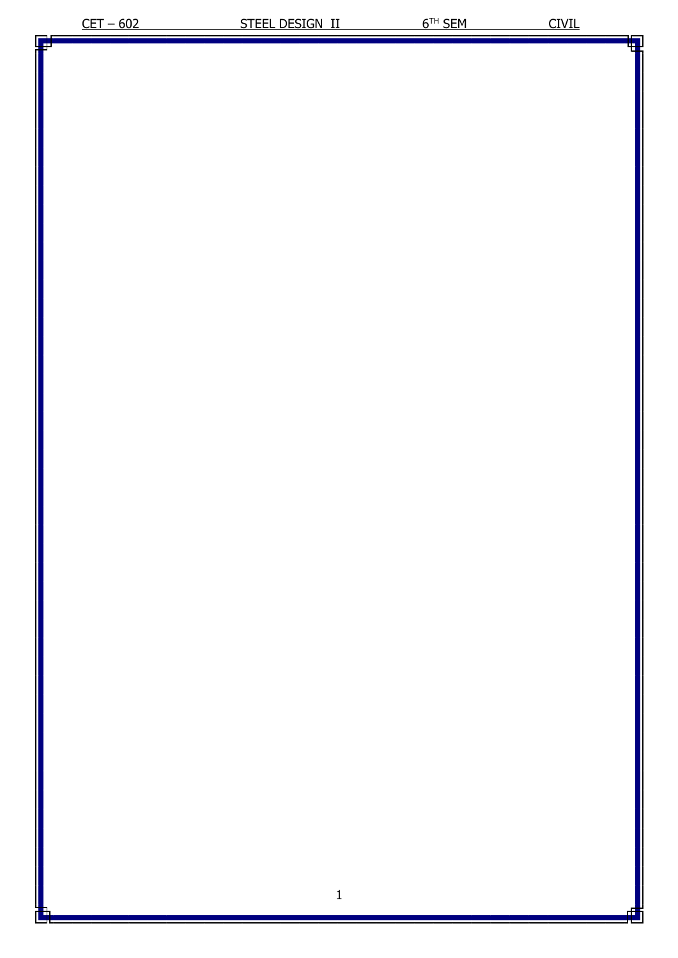| ø |              |  |
|---|--------------|--|
|   |              |  |
|   |              |  |
|   |              |  |
|   |              |  |
|   |              |  |
|   |              |  |
|   |              |  |
|   |              |  |
|   |              |  |
|   |              |  |
|   |              |  |
|   |              |  |
|   |              |  |
|   |              |  |
|   |              |  |
|   |              |  |
|   |              |  |
|   |              |  |
|   |              |  |
|   |              |  |
| Æ | $\mathbf{1}$ |  |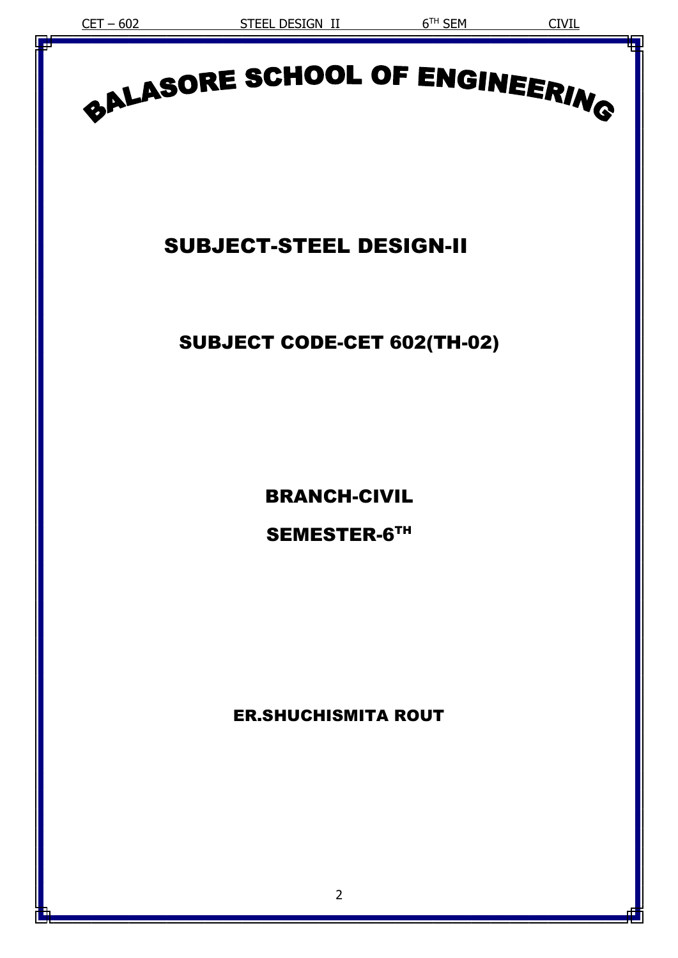

# SUBJECT-STEEL DESIGN-II

# SUBJECT CODE-CET 602(TH-02)

BRANCH-CIVIL

SEMESTER-6TH

ER.SHUCHISMITA ROUT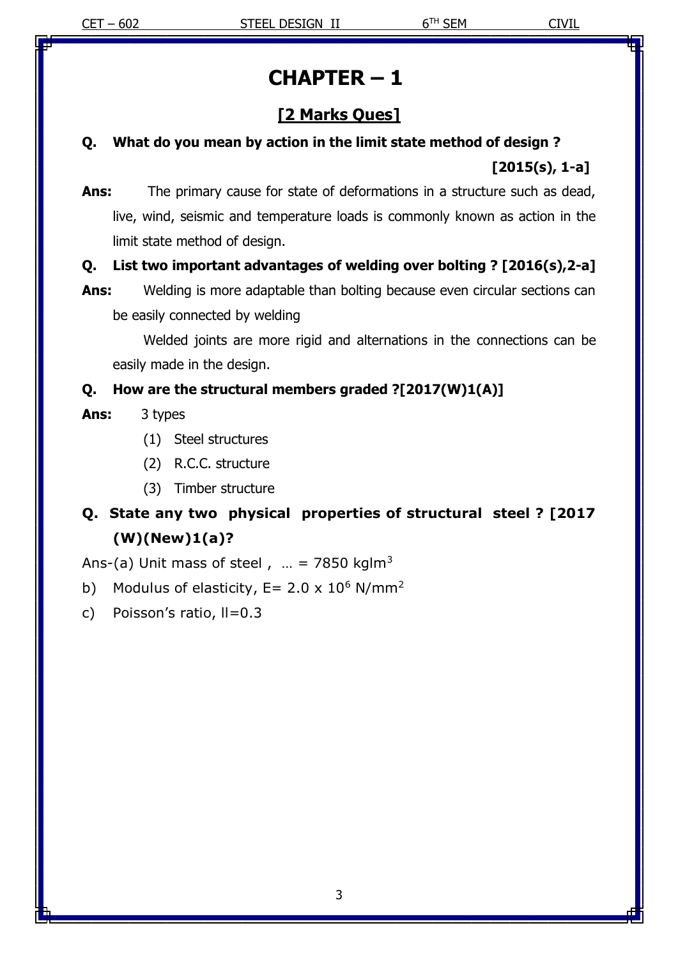# **CHAPTER – 1**

### **[2 Marks Ques]**

## **Q. What do you mean by action in the limit state method of design ? [2015(s), 1-a]**

**Ans:** The primary cause for state of deformations in a structure such as dead, live, wind, seismic and temperature loads is commonly known as action in the limit state method of design.

#### **Q. List two important advantages of welding over bolting ? [2016(s),2-a]**

**Ans:** Welding is more adaptable than bolting because even circular sections can be easily connected by welding

Welded joints are more rigid and alternations in the connections can be easily made in the design.

#### **Q. How are the structural members graded ?[2017(W)1(A)]**

- **Ans:** 3 types
	- (1) Steel structures
	- (2) R.C.C. structure
	- (3) Timber structure

# **Q. State any two physical properties of structural steel ? [2017 (W)(New)1(a)?**

Ans-(a) Unit mass of steel ,  $\ldots$  = 7850 kglm<sup>3</sup>

- b) Modulus of elasticity,  $E= 2.0 \times 10^6 \text{ N/mm}^2$
- c) Poisson's ratio, II=0.3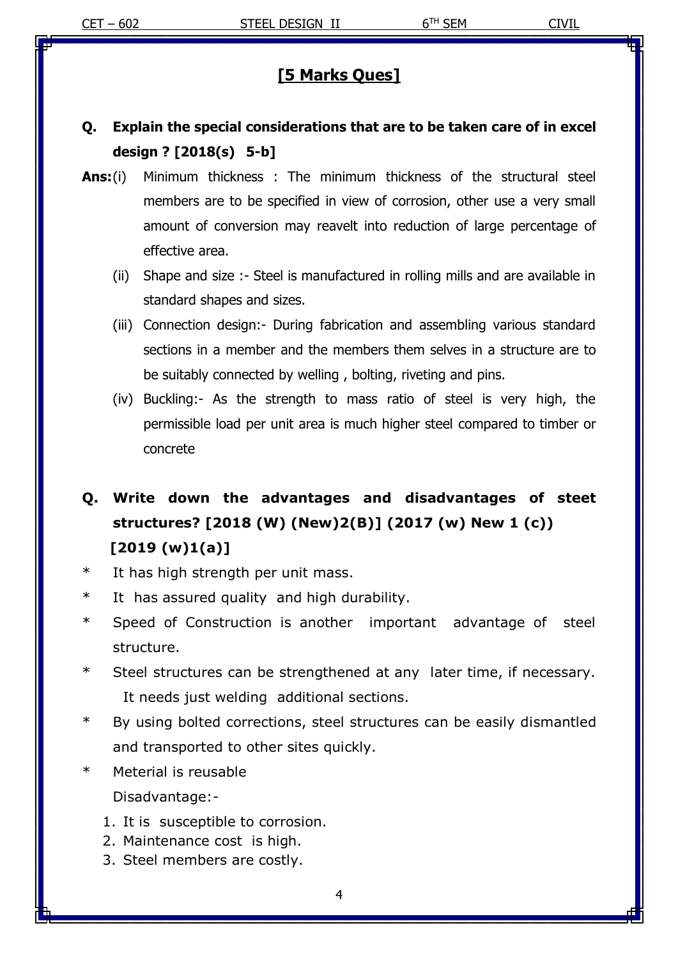#### **[5 Marks Ques]**

#### **Q. Explain the special considerations that are to be taken care of in excel design ? [2018(s) 5-b]**

- **Ans:**(i) Minimum thickness : The minimum thickness of the structural steel members are to be specified in view of corrosion, other use a very small amount of conversion may reavelt into reduction of large percentage of effective area.
	- (ii) Shape and size :- Steel is manufactured in rolling mills and are available in standard shapes and sizes.
	- (iii) Connection design:- During fabrication and assembling various standard sections in a member and the members them selves in a structure are to be suitably connected by welling , bolting, riveting and pins.
	- (iv) Buckling:- As the strength to mass ratio of steel is very high, the permissible load per unit area is much higher steel compared to timber or concrete
- **Q. Write down the advantages and disadvantages of steet structures? [2018 (W) (New)2(B)] (2017 (w) New 1 (c)) [2019 (w)1(a)]**
- \* It has high strength per unit mass.
- \* It has assured quality and high durability.
- \* Speed of Construction is another important advantage of steel structure.
- \* Steel structures can be strengthened at any later time, if necessary. It needs just welding additional sections.
- \* By using bolted corrections, steel structures can be easily dismantled and transported to other sites quickly.
- \* Meterial is reusable

Disadvantage:-

- 1. It is susceptible to corrosion.
- 2. Maintenance cost is high.
- 3. Steel members are costly.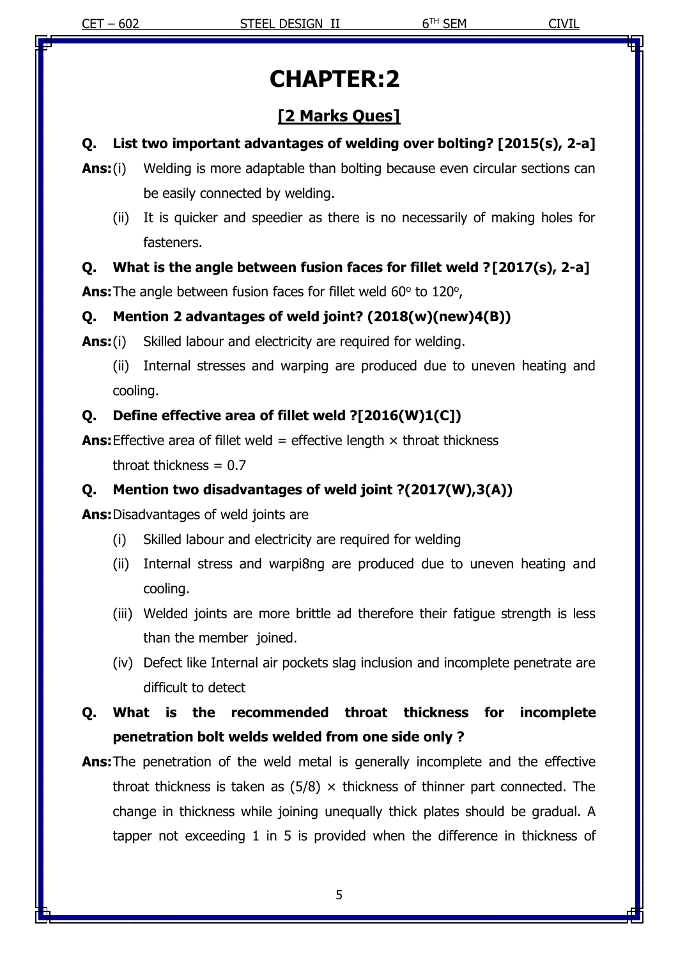# **CHAPTER:2**

# **[2 Marks Ques]**

#### **Q. List two important advantages of welding over bolting? [2015(s), 2-a]**

(ii) It is quicker and speedier as there is no necessarily of making holes for fasteners.

#### **Q. What is the angle between fusion faces for fillet weld ?[2017(s), 2-a]**

**Ans:** The angle between fusion faces for fillet weld 60° to 120°,

#### **Q. Mention 2 advantages of weld joint? (2018(w)(new)4(B))**

**Ans:**(i) Skilled labour and electricity are required for welding.

(ii) Internal stresses and warping are produced due to uneven heating and cooling.

#### **Q. Define effective area of fillet weld ?[2016(W)1(C])**

**Ans:** Effective area of fillet weld = effective length  $\times$  throat thickness

throat thickness  $= 0.7$ 

#### **Q. Mention two disadvantages of weld joint ?(2017(W),3(A))**

**Ans:**Disadvantages of weld joints are

- (i) Skilled labour and electricity are required for welding
- (ii) Internal stress and warpi8ng are produced due to uneven heating and cooling.
- (iii) Welded joints are more brittle ad therefore their fatigue strength is less than the member joined.
- (iv) Defect like Internal air pockets slag inclusion and incomplete penetrate are difficult to detect

### **Q. What is the recommended throat thickness for incomplete penetration bolt welds welded from one side only ?**

**Ans:**The penetration of the weld metal is generally incomplete and the effective throat thickness is taken as  $(5/8)$   $\times$  thickness of thinner part connected. The change in thickness while joining unequally thick plates should be gradual. A tapper not exceeding 1 in 5 is provided when the difference in thickness of

**Ans:**(i) Welding is more adaptable than bolting because even circular sections can be easily connected by welding.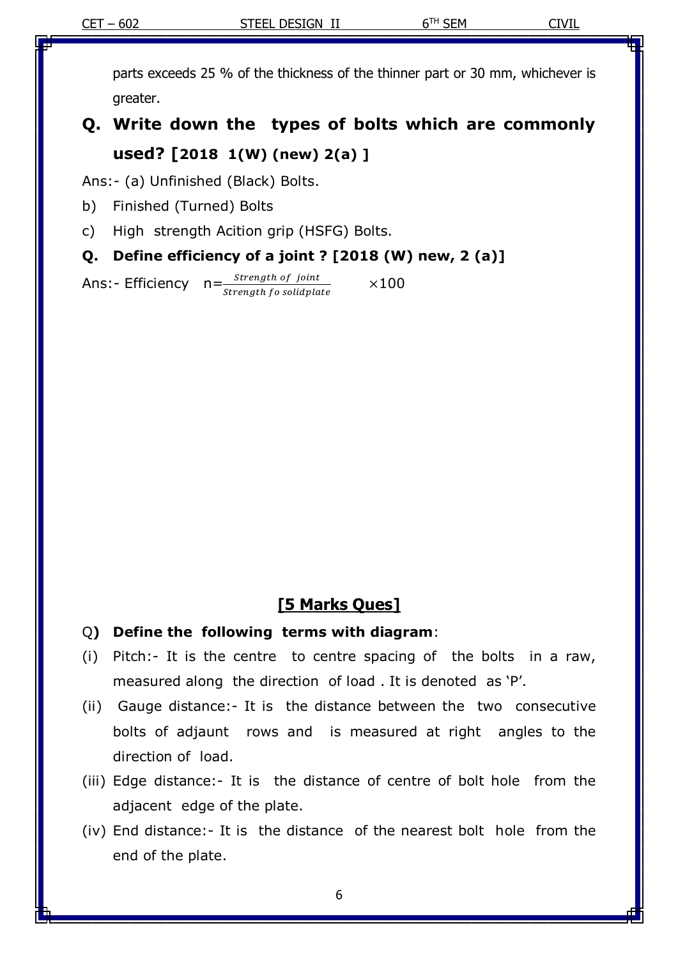parts exceeds 25 % of the thickness of the thinner part or 30 mm, whichever is greater.

# **Q. Write down the types of bolts which are commonly used? [2018 1(W) (new) 2(a) ]**

Ans:- (a) Unfinished (Black) Bolts.

- b) Finished (Turned) Bolts
- c) High strength Acition grip (HSFG) Bolts.

#### **Q. Define efficiency of a joint ? [2018 (W) new, 2 (a)]**

Ans:- Efficiency  $n = \frac{Streamb \ of \ joint}{\ }$ Strength fo solidplate ×100

#### **[5 Marks Ques]**

- Q**) Define the following terms with diagram**:
- (i) Pitch:- It is the centre to centre spacing of the bolts in a raw, measured along the direction of load . It is denoted as 'P'.
- (ii) Gauge distance:- It is the distance between the two consecutive bolts of adjaunt rows and is measured at right angles to the direction of load.
- (iii) Edge distance:- It is the distance of centre of bolt hole from the adjacent edge of the plate.
- (iv) End distance:- It is the distance of the nearest bolt hole from the end of the plate.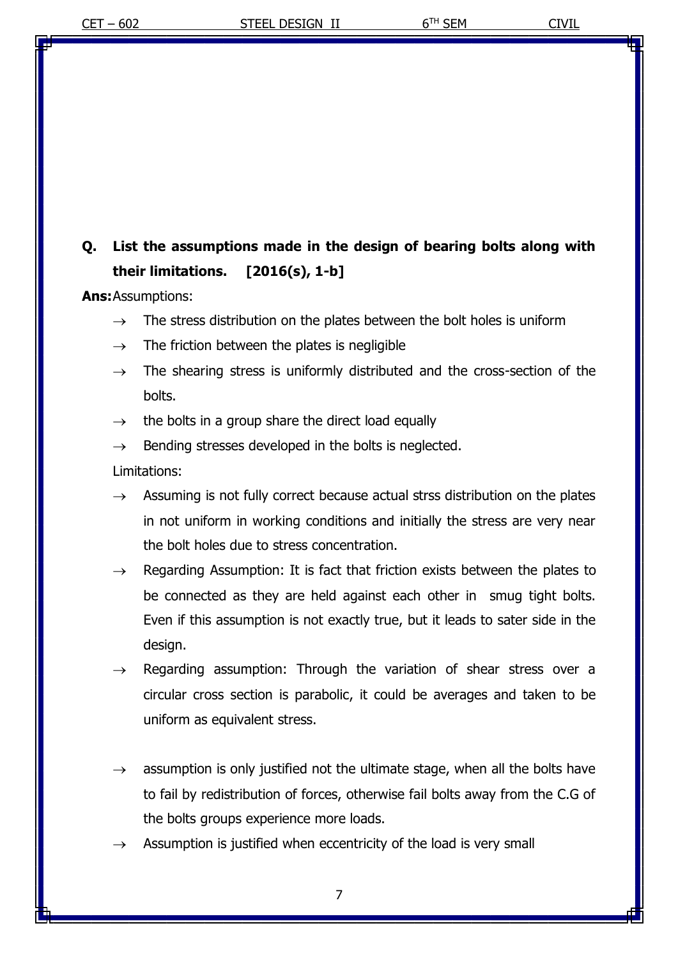# **Q. List the assumptions made in the design of bearing bolts along with their limitations. [2016(s), 1-b]**

**Ans:**Assumptions:

- $\rightarrow$  The stress distribution on the plates between the bolt holes is uniform
- $\rightarrow$  The friction between the plates is negligible
- $\rightarrow$  The shearing stress is uniformly distributed and the cross-section of the bolts.
- $\rightarrow$  the bolts in a group share the direct load equally
- $\rightarrow$  Bending stresses developed in the bolts is neglected.
- Limitations:
- $\rightarrow$  Assuming is not fully correct because actual strss distribution on the plates in not uniform in working conditions and initially the stress are very near the bolt holes due to stress concentration.
- $\rightarrow$  Regarding Assumption: It is fact that friction exists between the plates to be connected as they are held against each other in smug tight bolts. Even if this assumption is not exactly true, but it leads to sater side in the design.
- Regarding assumption: Through the variation of shear stress over a circular cross section is parabolic, it could be averages and taken to be uniform as equivalent stress.
- $\rightarrow$  assumption is only justified not the ultimate stage, when all the bolts have to fail by redistribution of forces, otherwise fail bolts away from the C.G of the bolts groups experience more loads.
- Assumption is justified when eccentricity of the load is very small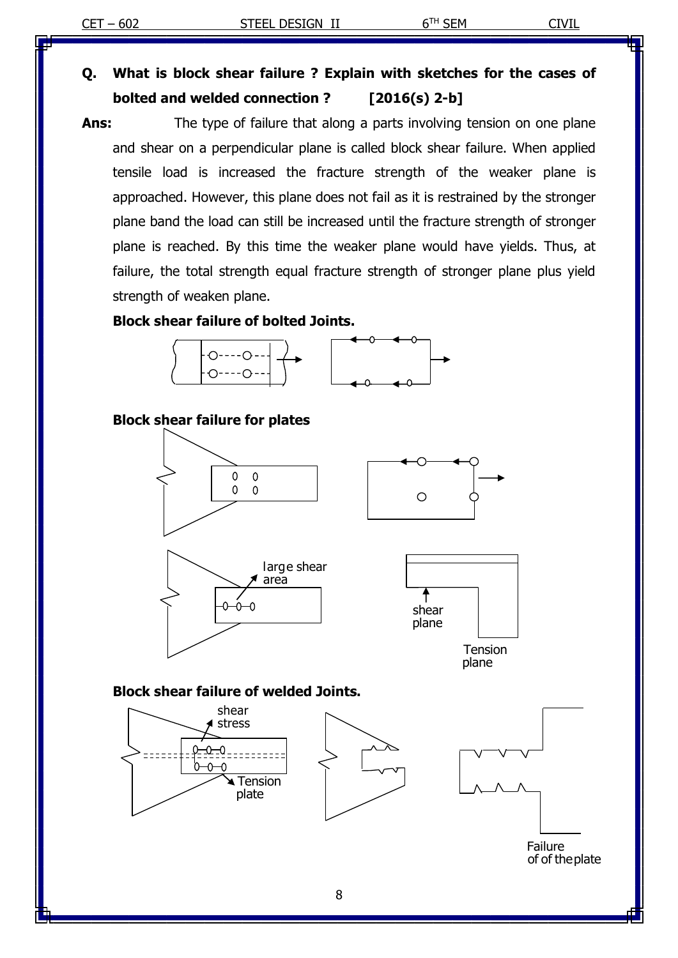## **Q. What is block shear failure ? Explain with sketches for the cases of bolted and welded connection ? [2016(s) 2-b]**

**Ans:** The type of failure that along a parts involving tension on one plane and shear on a perpendicular plane is called block shear failure. When applied tensile load is increased the fracture strength of the weaker plane is approached. However, this plane does not fail as it is restrained by the stronger plane band the load can still be increased until the fracture strength of stronger plane is reached. By this time the weaker plane would have yields. Thus, at failure, the total strength equal fracture strength of stronger plane plus yield strength of weaken plane.

#### **Block shear failure of bolted Joints.**



#### **Block shear failure for plates**



Failure of of theplate

8

plate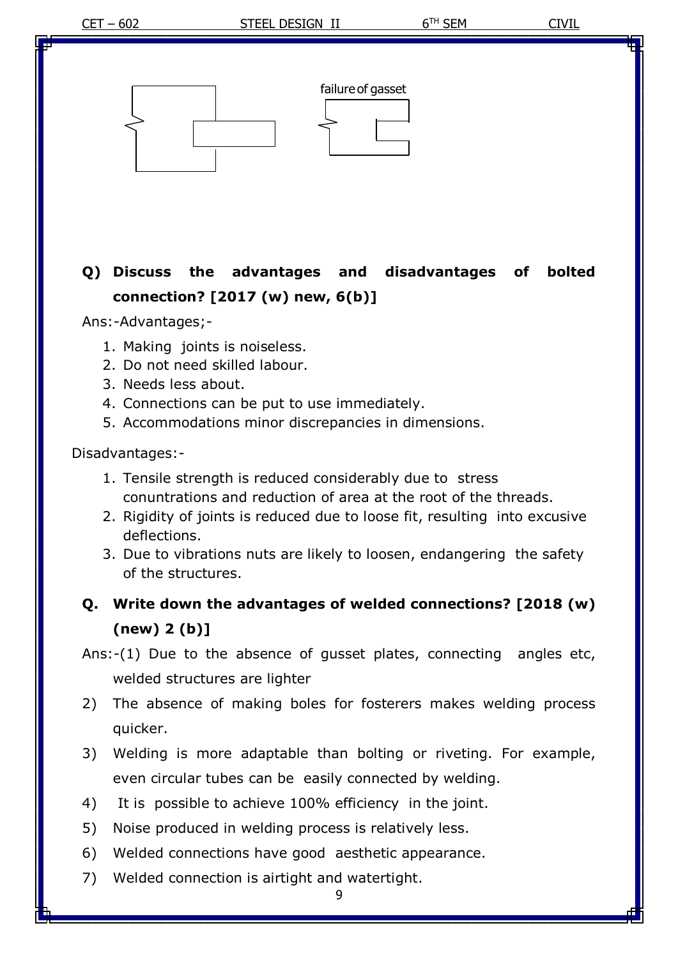| 6 <sup>TH</sup> SEM<br>$CET - 602$<br>STEEL DESIGN II<br><b>CIVIL</b>                                                                                                                                                                                                                                                      |  |  |  |
|----------------------------------------------------------------------------------------------------------------------------------------------------------------------------------------------------------------------------------------------------------------------------------------------------------------------------|--|--|--|
| failure of gasset                                                                                                                                                                                                                                                                                                          |  |  |  |
| the<br>advantages<br>and disadvantages<br>bolted<br>Q)<br><b>Discuss</b><br>οf                                                                                                                                                                                                                                             |  |  |  |
| connection? [2017 (w) new, 6(b)]                                                                                                                                                                                                                                                                                           |  |  |  |
| Ans:-Advantages;-                                                                                                                                                                                                                                                                                                          |  |  |  |
| 1. Making joints is noiseless.<br>2. Do not need skilled labour.<br>3. Needs less about.<br>4. Connections can be put to use immediately.<br>5. Accommodations minor discrepancies in dimensions.                                                                                                                          |  |  |  |
| Disadvantages:-                                                                                                                                                                                                                                                                                                            |  |  |  |
| 1. Tensile strength is reduced considerably due to stress<br>conuntrations and reduction of area at the root of the threads.<br>2. Rigidity of joints is reduced due to loose fit, resulting into excusive<br>deflections.<br>3. Due to vibrations nuts are likely to loosen, endangering the safety<br>of the structures. |  |  |  |
| Q. Write down the advantages of welded connections? [2018 (w)                                                                                                                                                                                                                                                              |  |  |  |
| $(new)$ 2 $(b)$ ]                                                                                                                                                                                                                                                                                                          |  |  |  |
| Ans:-(1) Due to the absence of gusset plates, connecting angles etc,                                                                                                                                                                                                                                                       |  |  |  |
| welded structures are lighter                                                                                                                                                                                                                                                                                              |  |  |  |
| The absence of making boles for fosterers makes welding process<br>2)                                                                                                                                                                                                                                                      |  |  |  |
| quicker.                                                                                                                                                                                                                                                                                                                   |  |  |  |
| 3)<br>Welding is more adaptable than bolting or riveting. For example,                                                                                                                                                                                                                                                     |  |  |  |
| even circular tubes can be easily connected by welding.                                                                                                                                                                                                                                                                    |  |  |  |
| 4)<br>It is possible to achieve 100% efficiency in the joint.                                                                                                                                                                                                                                                              |  |  |  |
| 5)<br>Noise produced in welding process is relatively less.                                                                                                                                                                                                                                                                |  |  |  |
| 6)<br>Welded connections have good aesthetic appearance.                                                                                                                                                                                                                                                                   |  |  |  |
| 7)<br>Welded connection is airtight and watertight.                                                                                                                                                                                                                                                                        |  |  |  |

▟╉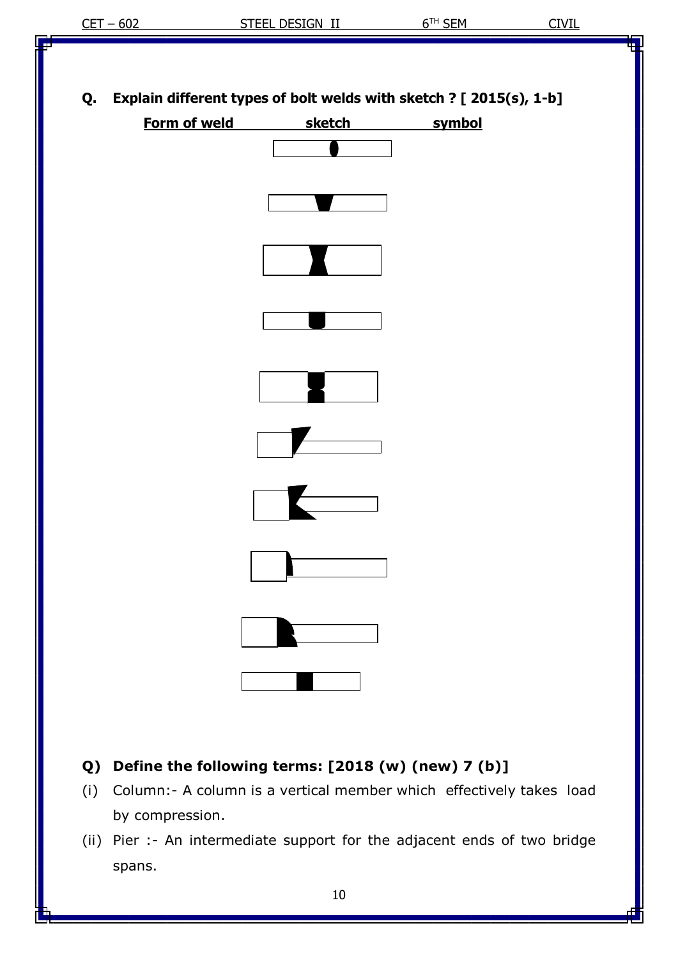CET – 602 STEEL DESIGN II 6<sup>TH</sup> SEM CIVIL **Q. Explain different types of bolt welds with sketch ? [ 2015(s), 1-b] Form of weld** sketch symbol

### **Q) Define the following terms: [2018 (w) (new) 7 (b)]**

- (i) Column:- A column is a vertical member which effectively takes load by compression.
- (ii) Pier :- An intermediate support for the adjacent ends of two bridge spans.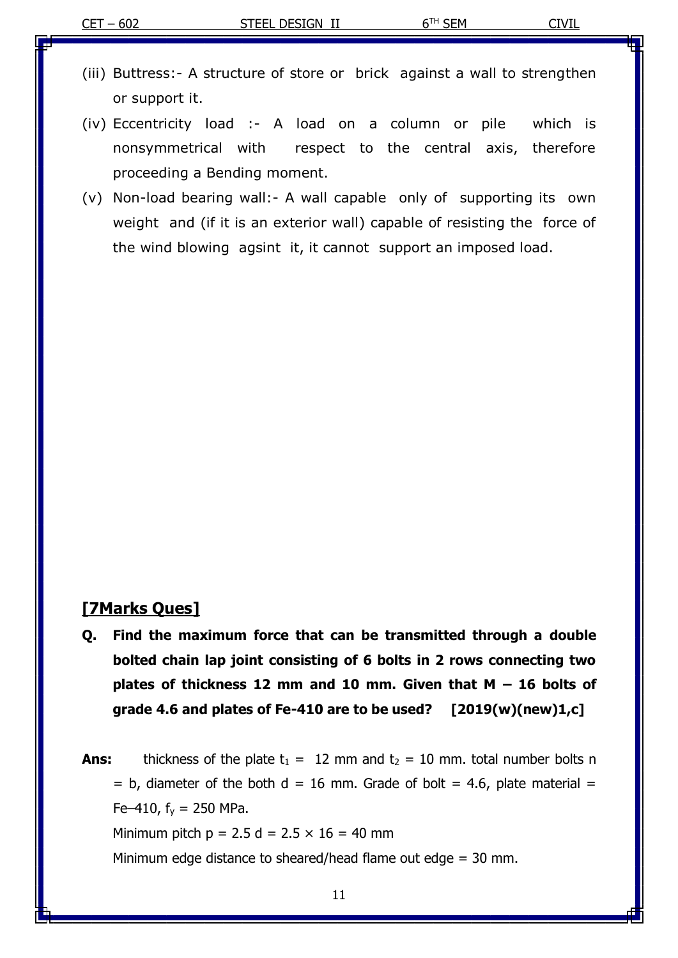- (iii) Buttress:- A structure of store or brick against a wall to strengthen or support it.
- (iv) Eccentricity load :- A load on a column or pile which is nonsymmetrical with respect to the central axis, therefore proceeding a Bending moment.
- (v) Non-load bearing wall:- A wall capable only of supporting its own weight and (if it is an exterior wall) capable of resisting the force of the wind blowing agsint it, it cannot support an imposed load.

#### **[7Marks Ques]**

- **Q. Find the maximum force that can be transmitted through a double bolted chain lap joint consisting of 6 bolts in 2 rows connecting two plates of thickness 12 mm and 10 mm. Given that**  $M - 16$  **bolts of grade 4.6 and plates of Fe-410 are to be used? [2019(w)(new)1,c]**
- **Ans:** thickness of the plate  $t_1 = 12$  mm and  $t_2 = 10$  mm. total number bolts n  $=$  b, diameter of the both d = 16 mm. Grade of bolt = 4.6, plate material = Fe–410,  $f_y = 250$  MPa. Minimum pitch  $p = 2.5$  d =  $2.5 \times 16 = 40$  mm

Minimum edge distance to sheared/head flame out edge = 30 mm.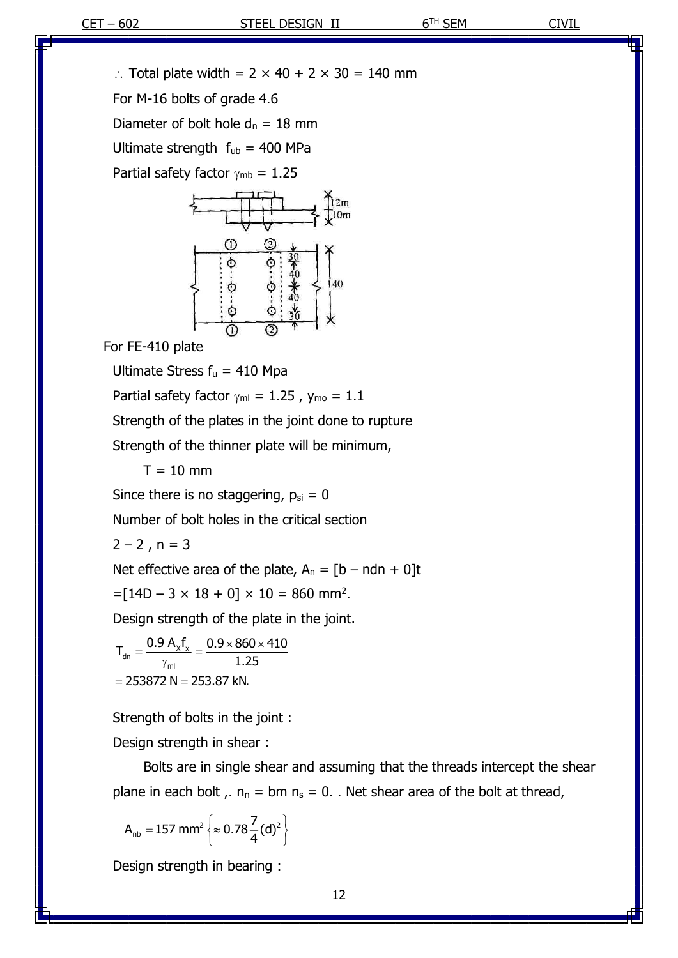$\therefore$  Total plate width = 2  $\times$  40 + 2  $\times$  30 = 140 mm

For M-16 bolts of grade 4.6

Diameter of bolt hole  $d_n = 18$  mm

Ultimate strength  $f_{ub} = 400$  MPa

Partial safety factor  $\gamma_{\rm mb} = 1.25$ 



For FE-410 plate

Ultimate Stress  $f_u = 410$  Mpa

Partial safety factor  $\gamma_{\text{ml}} = 1.25$ ,  $y_{\text{mo}} = 1.1$ 

Strength of the plates in the joint done to rupture

Strength of the thinner plate will be minimum,

 $T = 10$  mm

Since there is no staggering,  $p_{si} = 0$ 

Number of bolt holes in the critical section

 $2 - 2$ ,  $n = 3$ 

Net effective area of the plate,  $A_n = [b - ndn + 0]t$  $=[14D - 3 \times 18 + 0] \times 10 = 860$  mm<sup>2</sup>.

Design strength of the plate in the joint.

 $\lambda_{\rm dn} = \frac{\mathsf{0.13} \cdot \mathsf{1.1} \times \mathsf{1.1}}{2}$ ml  ${\sf T}_{\scriptscriptstyle \!\bot \hspace*{-.8mm} \cdot}= \frac{0.9~{\sf A}_{\scriptscriptstyle \chi} {\sf f}_{\scriptscriptstyle \chi}}{2} = \frac{0.9 \! \times \! 860 \! \times \! 410}{2}$ 1.25 = 253872 N = 253.87 kN.  $=\frac{0.9 A_{x1_{x}}}{\gamma_{m1}} = \frac{0.9 \times 860 \times}{1.25}$ 

Strength of bolts in the joint :

Design strength in shear :

Bolts are in single shear and assuming that the threads intercept the shear plane in each bolt ,.  $n_n = bm \, n_s = 0$ . . Net shear area of the bolt at thread,

$$
A_{nb} = 157 \text{ mm}^2 \left\{ \approx 0.78 \frac{7}{4} (d)^2 \right\}
$$

Design strength in bearing :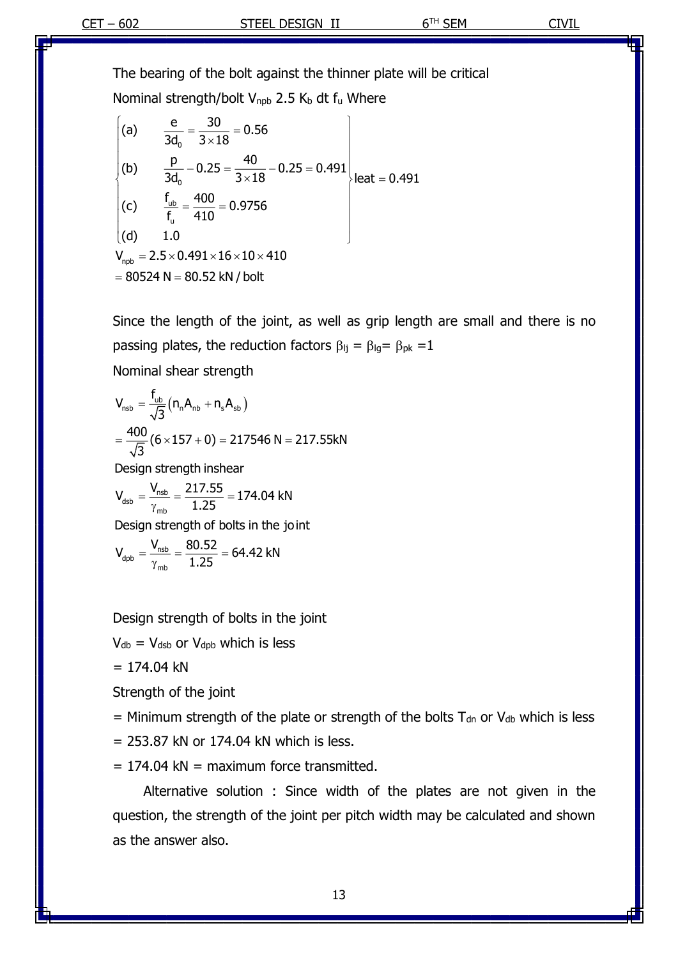The bearing of the bolt against the thinner plate will be critical Nominal strength/bolt  $V_{\text{npb}}$  2.5 K<sub>b</sub> dt f<sub>u</sub> Where

(a) 
$$
\frac{e}{3d_0} = \frac{30}{3 \times 18} = 0.56
$$
  
\n(b)  $\frac{p}{3d_0} - 0.25 = \frac{40}{3 \times 18} - 0.25 = 0.491$   
\n(c)  $\frac{f_{ub}}{f_u} = \frac{400}{410} = 0.9756$   
\n(d) 1.0  
\n $V_{\text{npb}} = 2.5 \times 0.491 \times 16 \times 10 \times 410$   
\n= 80524 N = 80.52 kN/bolt

Since the length of the joint, as well as grip length are small and there is no passing plates, the reduction factors  $\beta_{lj} = \beta_{lg} = \beta_{pk} = 1$ Nominal shear strength

$$
V_{\text{nsb}} = \frac{f_{\text{ub}}}{\sqrt{3}} (n_{\text{n}} A_{\text{nb}} + n_{\text{s}} A_{\text{sb}})
$$
  
=  $\frac{400}{\sqrt{3}} (6 \times 157 + 0) = 217546 \text{ N} = 217.55 \text{kN}$   
Design strength inshear  

$$
V_{\text{dsb}} = \frac{V_{\text{nsb}}}{\gamma_{\text{mb}}} = \frac{217.55}{1.25} = 174.04 \text{ kN}
$$
  
Design strength of bolts in the joint  

$$
V = 80.52
$$

$$
V_{\text{qpb}} = \frac{V_{\text{nsb}}}{\gamma_{\text{mb}}} = \frac{80.52}{1.25} = 64.42 \text{ kN}
$$

Design strength of bolts in the joint

 $V_{db} = V_{dsb}$  or  $V_{dbb}$  which is less

$$
= 174.04 \text{ kN}
$$

Strength of the joint

= Minimum strength of the plate or strength of the bolts  $T_{dn}$  or  $V_{db}$  which is less

 $= 253.87$  kN or 174.04 kN which is less.

 $= 174.04$  kN = maximum force transmitted.

Alternative solution : Since width of the plates are not given in the question, the strength of the joint per pitch width may be calculated and shown as the answer also.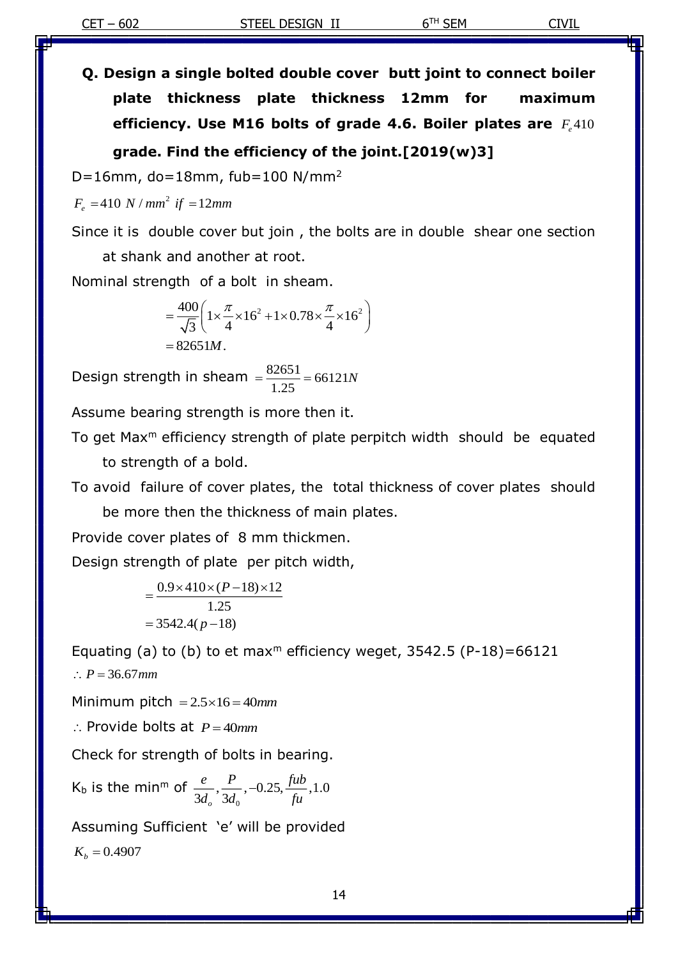**Q. Design a single bolted double cover butt joint to connect boiler plate thickness plate thickness 12mm for maximum efficiency. Use M16 bolts of grade 4.6. Boiler plates are**  410 *F e* **grade. Find the efficiency of the joint.[2019(w)3]**

 $D=16$ mm, do=18mm, fub=100 N/mm<sup>2</sup>

 $F_e = 410 \, N / mm^2$  if  $= 12 mm$ 

Since it is double cover but join, the bolts are in double shear one section at shank and another at root.

Nominal strength of a bolt in sheam.

$$
= \frac{400}{\sqrt{3}} \left( 1 \times \frac{\pi}{4} \times 16^{2} + 1 \times 0.78 \times \frac{\pi}{4} \times 16^{2} \right)
$$
  
= 82651M.

Design strength in sheam  $=\frac{82651}{125}$  = 66121  $=\frac{2244}{1.25}$  = 66121N

Assume bearing strength is more then it.

To get Max<sup>m</sup> efficiency strength of plate perpitch width should be equated to strength of a bold.

To avoid failure of cover plates, the total thickness of cover plates should be more then the thickness of main plates.

Provide cover plates of 8 mm thickmen.

Design strength of plate per pitch width,

$$
=\frac{0.9 \times 410 \times (P-18) \times 12}{1.25}
$$
  
= 3542.4(p-18)

Equating (a) to (b) to et max<sup>m</sup> efficiency weget, 3542.5 (P-18)=66121  $\therefore P = 36.67$ mm

Minimum pitch  $= 2.5 \times 16 = 40$ mm

.. Provide bolts at  $P = 40mm$ 

Check for strength of bolts in bearing.

 $K_b$  is the min<sup>m</sup> of 0  $, \frac{1}{\sqrt{1.1}}$ ,  $-0.25, \frac{900}{\sqrt{1.1}}$ , 1.0 3d<sub>o</sub> 3 *<sup>e</sup> P fub*  $\overline{d}_o$ ,  $\overline{3d}_o$ ,  $\overline{-0.23}$ ,  $\overline{f}$ *u* 

Assuming Sufficient 'e' will be provided  $K_b = 0.4907$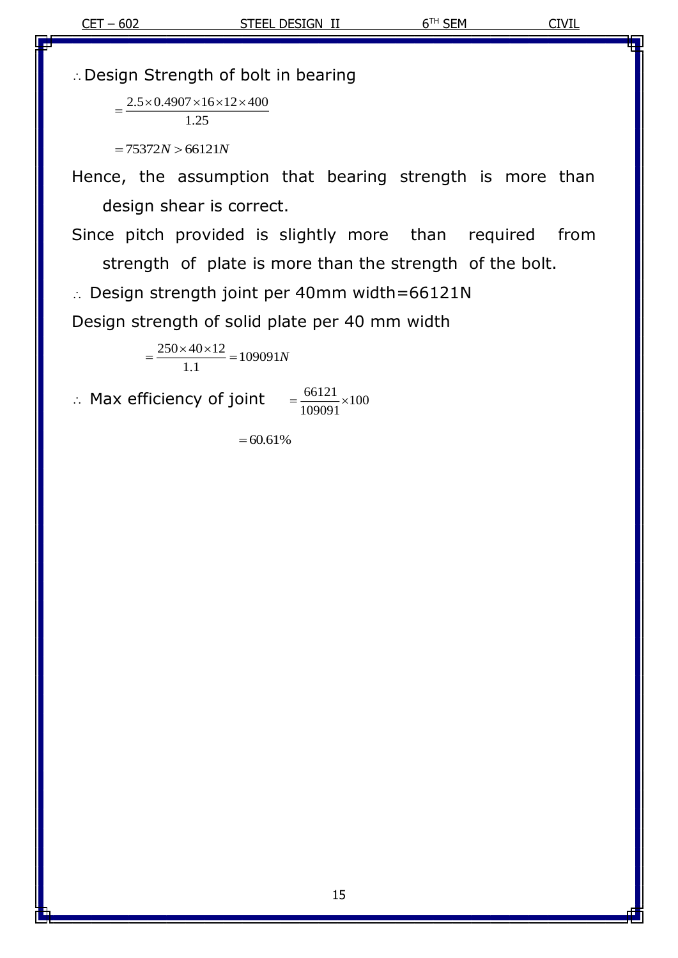Design Strength of bolt in bearing

 $2.5 \times 0.4907 \times 16 \times 12 \times 400$ 1.25

 $= 75372 N$   $> 66121 N$ 

EVESIGN Strength of boot in Bearin<br>  $= \frac{2.5 \times 0.4907 \times 16 \times 12 \times 400}{1.25}$ <br>  $= 75372N > 66121N$ <br>
Hence, the assumption that be<br>
design shear is correct.<br>
Since pitch provided is slightly<br>
strength of plate is more than<br> Hence, the assumption that bearing strength is more than design shear is correct.

Since pitch provided is slightly more than required from strength of plate is more than the strength of the bolt.

 $\therefore$  Design strength joint per 40mm width=66121N

Design strength of solid plate per 40 mm width

 $\frac{250 \times 40 \times 12}{2} = 109091$ 1.1  $=\frac{250\times40\times12}{2}$  = 109091N

 Max efficiency of joint <sup>66121</sup> <sup>100</sup>  $=\frac{}{109091}$ 

 $=60.61%$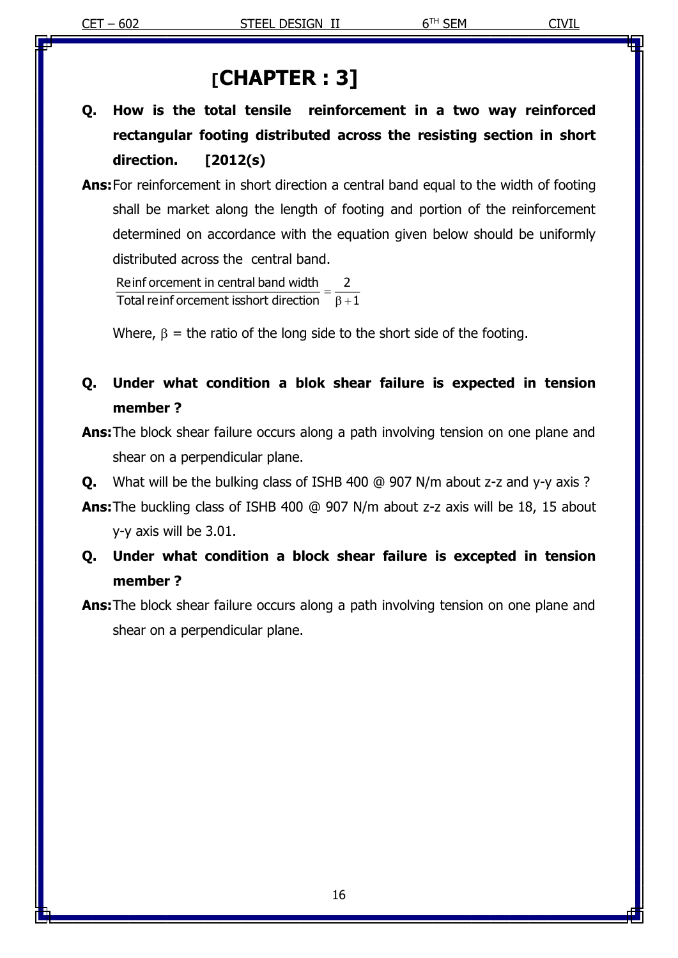# **[CHAPTER : 3]**

- **Q. How is the total tensile reinforcement in a two way reinforced rectangular footing distributed across the resisting section in short direction. [2012(s)**
- **Ans:**For reinforcement in short direction a central band equal to the width of footing shall be market along the length of footing and portion of the reinforcement determined on accordance with the equation given below should be uniformly distributed across the central band.

Reinf orcement in central band width 2 Total reinf orcement isshort direction  $\beta+1$ =

Where,  $\beta$  = the ratio of the long side to the short side of the footing.

### **Q. Under what condition a blok shear failure is expected in tension member ?**

- **Ans:**The block shear failure occurs along a path involving tension on one plane and shear on a perpendicular plane.
- **Q.** What will be the bulking class of ISHB 400 @ 907 N/m about z-z and y-y axis ?

**Ans:**The buckling class of ISHB 400 @ 907 N/m about z-z axis will be 18, 15 about y-y axis will be 3.01.

## **Q. Under what condition a block shear failure is excepted in tension member ?**

**Ans:**The block shear failure occurs along a path involving tension on one plane and shear on a perpendicular plane.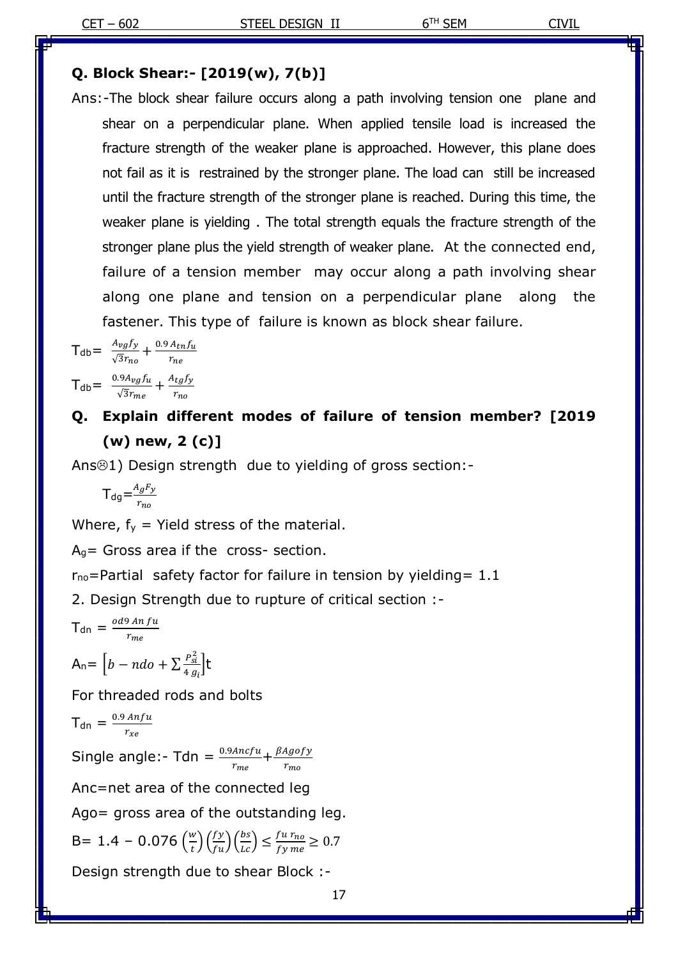#### **Q. Block Shear:- [2019(w), 7(b)]**

Ans:-The block shear failure occurs along a path involving tension one plane and shear on a perpendicular plane. When applied tensile load is increased the fracture strength of the weaker plane is approached. However, this plane does not fail as it is restrained by the stronger plane. The load can still be increased until the fracture strength of the stronger plane is reached. During this time, the weaker plane is yielding . The total strength equals the fracture strength of the stronger plane plus the yield strength of weaker plane. At the connected end, failure of a tension member may occur along a path involving shear along one plane and tension on a perpendicular plane along the fastener. This type of failure is known as block shear failure.

$$
T_{db} = \frac{A_{vg}f_y}{\sqrt{3}r_{no}} + \frac{0.9 A_{tn}f_u}{r_{ne}}
$$

$$
T_{db} = \frac{0.9 A_{vg}f_u}{\sqrt{3}r_{me}} + \frac{A_{tg}f_y}{r_{no}}
$$

## **Q. Explain different modes of failure of tension member? [2019 (w) new, 2 (c)]**

Ans $\odot$ 1) Design strength due to yielding of gross section:-

$$
T_{dg} = \frac{A_g F_y}{r_{no}}
$$

Where,  $f_y$  = Yield stress of the material.

 $A_q$  = Gross area if the cross- section.

 $r_{no}$ =Partial safety factor for failure in tension by yielding= 1.1

2. Design Strength due to rupture of critical section :-

$$
T_{dn} = \frac{od9 \text{ An fu}}{r_{me}}
$$

$$
A_n = \left[b - ndo + \sum \frac{P_{si}^2}{4 g_i}\right]t
$$

For threaded rods and bolts

$$
T_{dn} = \frac{0.9 \text{ Anfu}}{r_{xe}}
$$

Single angle:- Tdn =  $\frac{0.9Ancfu}{r_{me}} + \frac{\beta Agofy}{r_{mo}}$  $r_{mo}$ 

Anc=net area of the connected leg

Ago= gross area of the outstanding leg.

B= 1.4 - 0.076 
$$
\left(\frac{w}{t}\right) \left(\frac{fy}{fu}\right) \left(\frac{bs}{tc}\right) \le \frac{fu r_{no}}{fy me} \ge 0.7
$$

Design strength due to shear Block :-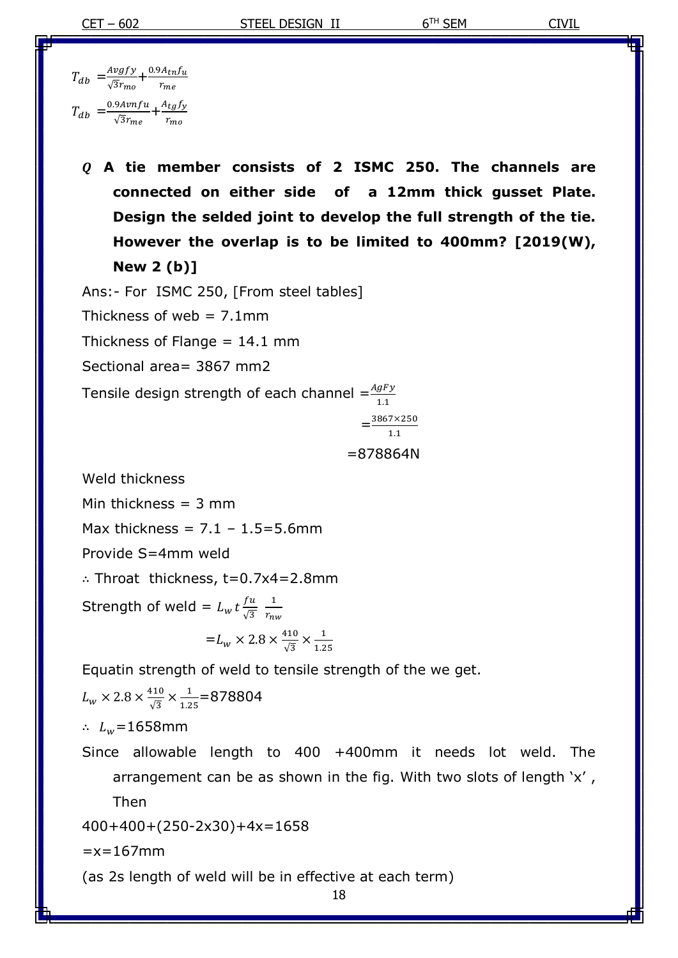- $T_{db} = \frac{Avgfy}{\sqrt{3}r}$  $\frac{Avgfy}{\sqrt{3}r_{mo}} + \frac{0.9A_{tn}f_u}{r_{me}}$  $r_{me}$  $T_{db} = \frac{0.9Avnfu}{\sqrt{3}r_{av}}$  $\frac{9Avnfu}{\sqrt{3}r_{me}} + \frac{A_{tg}f_{y}}{r_{mo}}$  $r_{mo}$ 
	- **A tie member consists of 2 ISMC 250. The channels are connected on either side of a 12mm thick gusset Plate. Design the selded joint to develop the full strength of the tie. However the overlap is to be limited to 400mm? [2019(W), New 2 (b)]**

Ans:- For ISMC 250, [From steel tables]

Thickness of web  $= 7.1$ mm

Thickness of Flange  $= 14.1$  mm

Sectional area= 3867 mm2

Tensile design strength of each channel  $=\frac{AgFy}{1.1}$ 

$$
=\frac{3867\times250}{1.1}
$$

$$
=878864N
$$

Weld thickness

Min thickness  $=$  3 mm

Max thickness =  $7.1 - 1.5 = 5.6$ mm

Provide S=4mm weld

∴ Throat thickness, t=0.7x4=2.8mm

Strength of weld =  $L_w t \frac{fu}{\sqrt{3}}$ √3 1  $r_{nw}$ 

$$
=L_w \times 2.8 \times \frac{410}{\sqrt{3}} \times \frac{1}{1.25}
$$

Equatin strength of weld to tensile strength of the we get.

$$
L_{w} \times 2.8 \times \frac{410}{\sqrt{3}} \times \frac{1}{1.25} = 878804
$$

∴  $L_w$ =1658mm

Since allowable length to 400 +400mm it needs lot weld. The arrangement can be as shown in the fig. With two slots of length 'x', Then

400+400+(250-2x30)+4x=1658

 $=x=167$ mm

(as 2s length of weld will be in effective at each term)

18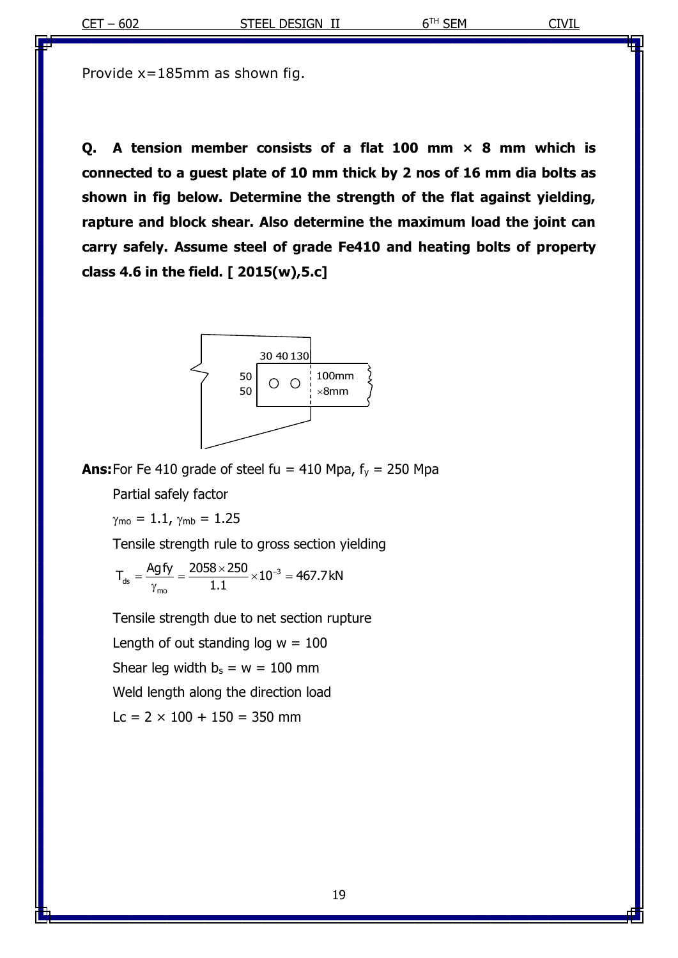Provide x=185mm as shown fig.

**Q. A tension member consists of a flat 100 mm × 8 mm which is connected to a guest plate of 10 mm thick by 2 nos of 16 mm dia bolts as shown in fig below. Determine the strength of the flat against yielding, rapture and block shear. Also determine the maximum load the joint can carry safely. Assume steel of grade Fe410 and heating bolts of property class 4.6 in the field. [ 2015(w),5.c]**



**Ans:** For Fe 410 grade of steel fu = 410 Mpa,  $f_v = 250$  Mpa

Partial safely factor

 $\gamma_{\text{mo}} = 1.1$ ,  $\gamma_{\text{mb}} = 1.25$ 

Tensile strength rule to gross section yielding

$$
T_{ds} = \frac{Agfy}{\gamma_{mo}} = \frac{2058 \times 250}{1.1} \times 10^{-3} = 467.7 \text{ kN}
$$

Tensile strength due to net section rupture Length of out standing  $log w = 100$ Shear leg width  $b_s = w = 100$  mm Weld length along the direction load  $Lc = 2 \times 100 + 150 = 350$  mm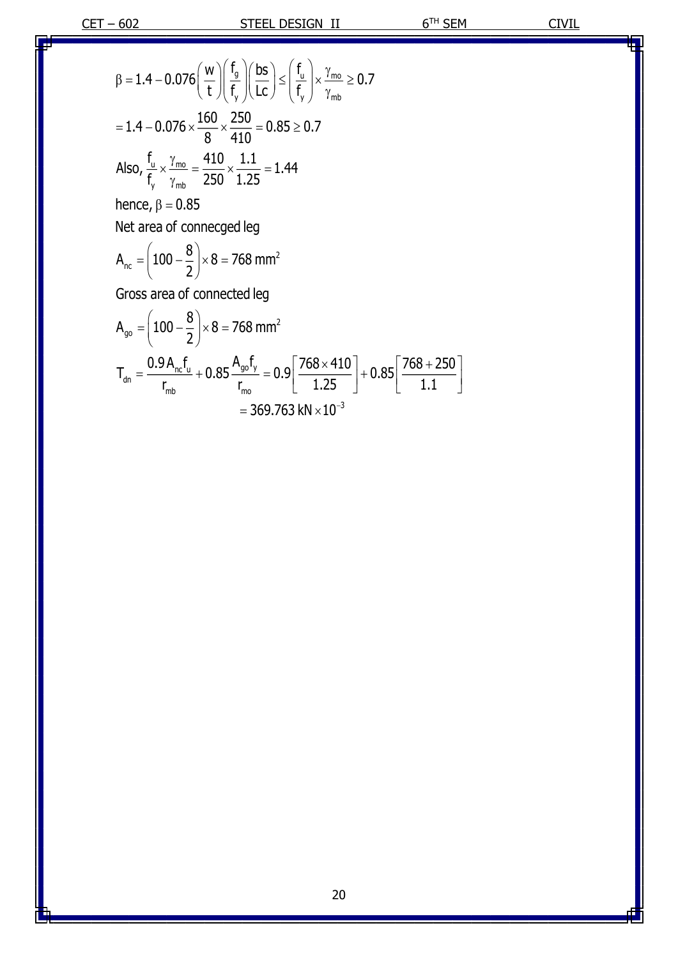о

4

$$
\beta = 1.4 - 0.076 \left(\frac{w}{t}\right) \left(\frac{f_g}{f_y}\right) \left(\frac{bs}{lc}\right) \le \left(\frac{f_u}{f_y}\right) \times \frac{\gamma_{mo}}{\gamma_{mb}} \ge 0.7
$$
  
= 1.4 - 0.076 ×  $\frac{160}{8}$  ×  $\frac{250}{410}$  = 0.85 ≥ 0.7  
Also,  $\frac{f_u}{f_y} \times \frac{\gamma_{mo}}{\gamma_{mb}} = \frac{410}{250} \times \frac{1.1}{1.25} = 1.44$   
hence,  $\beta = 0.85$   
Net area of connected leg  
 $A_{nc} = \left(100 - \frac{8}{2}\right) \times 8 = 768$  mm<sup>2</sup>  
Gross area of connected leg  
 $A_{go} = \left(100 - \frac{8}{2}\right) \times 8 = 768$  mm<sup>2</sup>

$$
A_{g0} = \left(\frac{100 - \frac{1}{2}}{2}\right)^{3/8} = 708 \text{ H} \cdot \text{m}
$$
  
\n
$$
T_{dn} = \frac{0.9 \, A_{nc} f_u}{r_{mb}} + 0.85 \frac{A_{g0} f_y}{r_{mo}} = 0.9 \left[ \frac{768 \times 410}{1.25} \right] + 0.85 \left[ \frac{768 + 250}{1.1} \right]
$$
  
\n= 369.763 kN × 10<sup>-3</sup>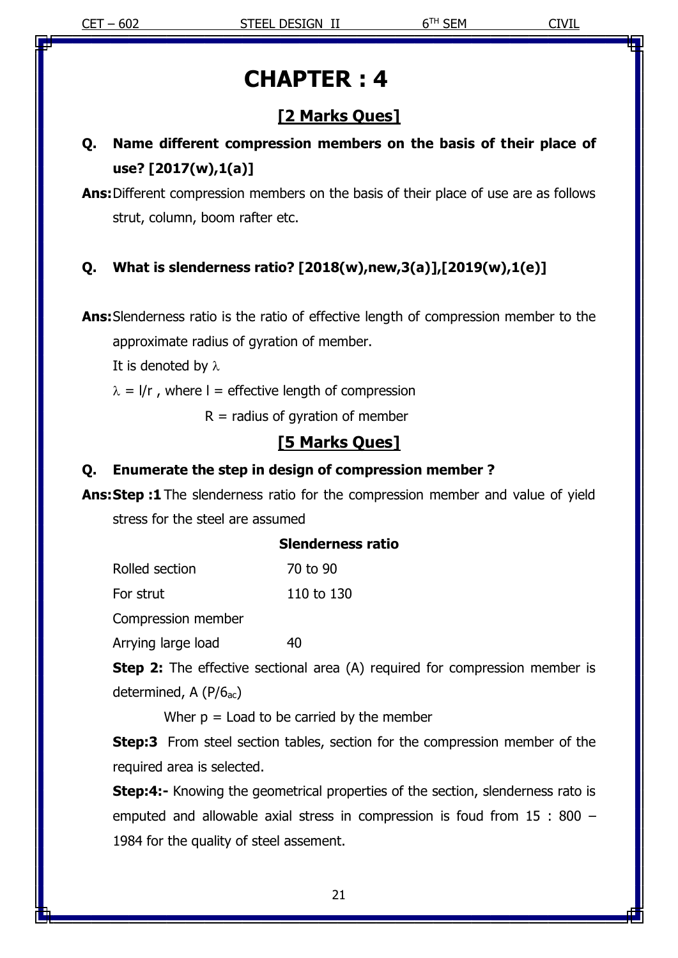# **CHAPTER : 4**

## **[2 Marks Ques]**

## **Q. Name different compression members on the basis of their place of use? [2017(w),1(a)]**

**Ans:**Different compression members on the basis of their place of use are as follows strut, column, boom rafter etc.

#### **Q. What is slenderness ratio? [2018(w),new,3(a)],[2019(w),1(e)]**

**Ans:**Slenderness ratio is the ratio of effective length of compression member to the

approximate radius of gyration of member.

It is denoted by  $\lambda$ 

 $\lambda = 1/r$ , where I = effective length of compression

 $R =$  radius of gyration of member

### **[5 Marks Ques]**

#### **Q. Enumerate the step in design of compression member ?**

**Ans:Step :1** The slenderness ratio for the compression member and value of yield stress for the steel are assumed

ratio

|                | <b>Slenderness</b> |
|----------------|--------------------|
| Rolled section | 70 to 90           |

| For strut | 110 to 130 |
|-----------|------------|

Compression member

Arrying large load 40

**Step 2:** The effective sectional area (A) required for compression member is determined,  $A(P/6<sub>ac</sub>)$ 

Wher  $p =$  Load to be carried by the member

**Step:3** From steel section tables, section for the compression member of the required area is selected.

**Step:4:-** Knowing the geometrical properties of the section, slenderness rato is emputed and allowable axial stress in compression is foud from 15 : 800 – 1984 for the quality of steel assement.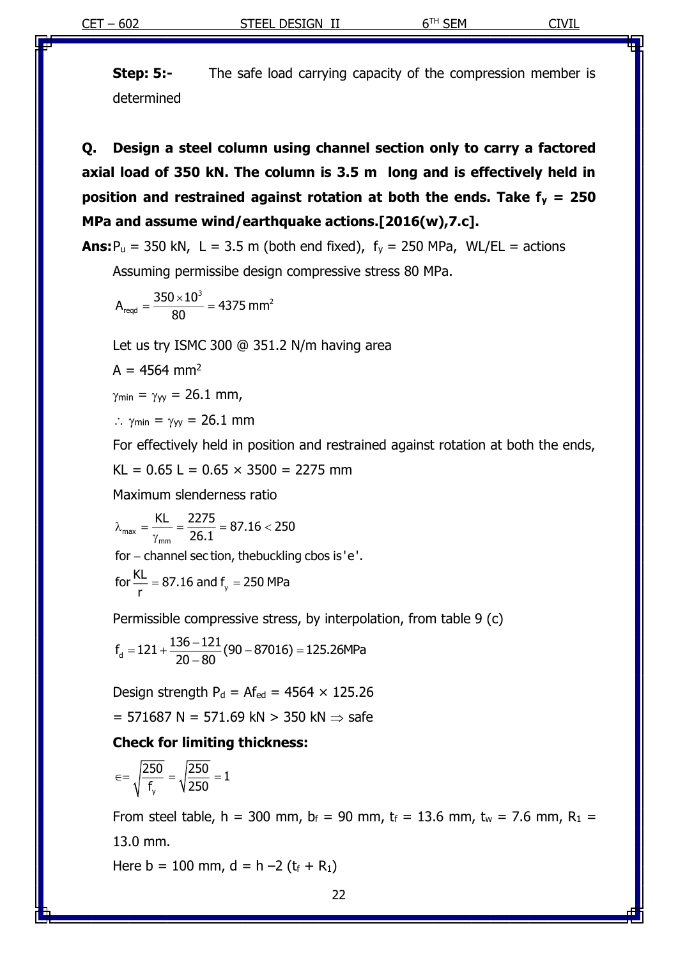**Step: 5:-** The safe load carrying capacity of the compression member is determined

**Q. Design a steel column using channel section only to carry a factored axial load of 350 kN. The column is 3.5 m long and is effectively held in position and restrained against rotation at both the ends. Take f<sup>y</sup> = 250 MPa and assume wind/earthquake actions.[2016(w),7.c].**

**Ans:** $P_u$  = 350 kN, L = 3.5 m (both end fixed),  $f_y$  = 250 MPa, WL/EL = actions

Assuming permissibe design compressive stress 80 MPa.

$$
A_{\text{reqd}} = \frac{350 \times 10^3}{80} = 4375 \text{ mm}^2
$$

Let us try ISMC 300 @ 351.2 N/m having area

 $A = 4564$  mm<sup>2</sup>

 $\gamma_{\text{min}} = \gamma_{\text{vv}} = 26.1 \text{ mm}$ ,

 $\therefore$   $\gamma_{min} = \gamma_{yy} = 26.1$  mm

For effectively held in position and restrained against rotation at both the ends,

KL =  $0.65$  L =  $0.65 \times 3500$  = 2275 mm

Maximum slenderness ratio

$$
\lambda_{\text{max}} = \frac{KL}{\gamma_{\text{mm}}} = \frac{2275}{26.1} = 87.16 < 250
$$

for – channel sec tion, thebuckling cbos is'e'.

for 
$$
\frac{KL}{r}
$$
 = 87.16 and f<sub>y</sub> = 250 MPa

Permissible compressive stress, by interpolation, from table 9 (c)  

$$
f_d = 121 + \frac{136 - 121}{20 - 80} (90 - 87016) = 125.26 MPa
$$

Design strength  $P_d = Af_{ed} = 4564 \times 125.26$  $= 571687$  N = 571.69 kN > 350 kN  $\Rightarrow$  safe

#### **Check for limiting thickness:**

$$
\epsilon = \sqrt{\frac{250}{f_y}} = \sqrt{\frac{250}{250}} = 1
$$

From steel table, h = 300 mm,  $b_f$  = 90 mm,  $t_f$  = 13.6 mm,  $t_w$  = 7.6 mm,  $R_1$  = 13.0 mm.

Here  $b = 100$  mm,  $d = h - 2 (t_f + R_1)$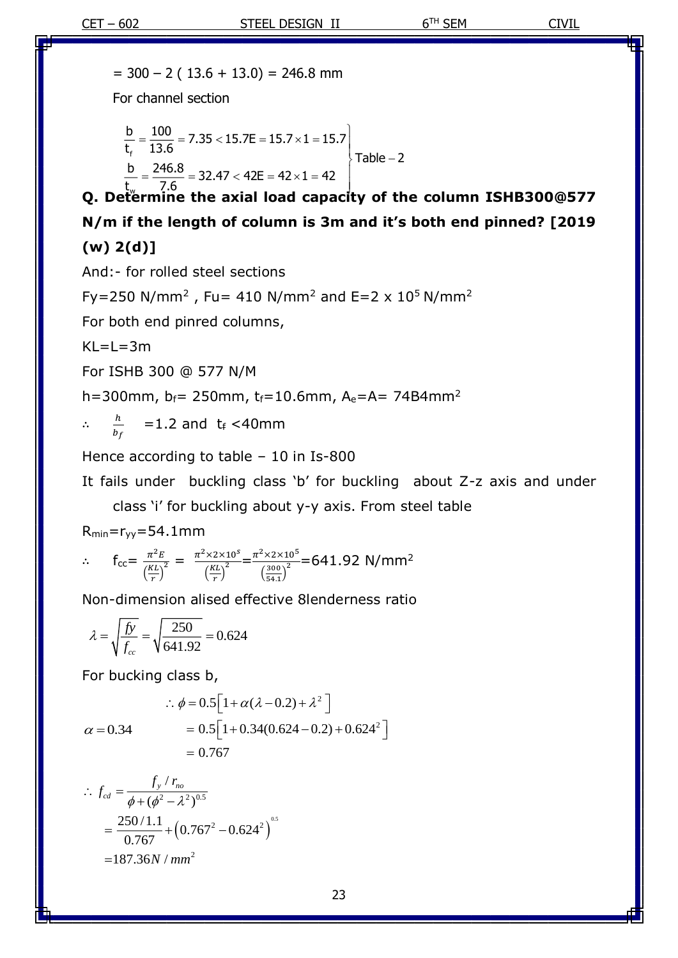$= 300 - 2 (13.6 + 13.0) = 246.8$  mm

For channel section

$$
\frac{b}{t_r} = \frac{100}{13.6} = 7.35 < 15.7E = 15.7 \times 1 = 15.7
$$
  

$$
\frac{b}{t} = \frac{246.8}{7.6} = 32.47 < 42E = 42 \times 1 = 42
$$

t <sup>t 7.6</sup><br>Q. Detërmine the axial load capacity of the column ISHB300@577 **N/m if the length of column is 3m and it's both end pinned? [2019 (w) 2(d)]**

And:- for rolled steel sections

$$
Fy = 250 \text{ N/mm}^2
$$
,  $Fu = 410 \text{ N/mm}^2$  and  $E = 2 \times 10^5 \text{ N/mm}^2$ 

For both end pinred columns,

 $KL=L=3m$ 

For ISHB 300 @ 577 N/M

h=300mm,  $b_f$ = 250mm,  $t_f$ =10.6mm,  $A_e$ =A= 74B4mm<sup>2</sup>

$$
\therefore \quad \frac{h}{b_f} = 1.2 \text{ and } t_f < 40 \text{mm}
$$

Hence according to table – 10 in Is-800

It fails under buckling class 'b' for buckling about Z-z axis and under

class 'i' for buckling about y-y axis. From steel table

 $R_{min} = r_{yy} = 54.1$ mm

$$
\therefore f_{cc} = \frac{\pi^2 E}{\left(\frac{KL}{r}\right)^2} = \frac{\pi^2 \times 2 \times 10^5}{\left(\frac{KL}{r}\right)^2} = \frac{\pi^2 \times 2 \times 10^5}{\left(\frac{300}{54.1}\right)^2} = 641.92 \text{ N/mm}^2
$$

Non-dimension alised effective 8lenderness ratio

$$
\lambda = \sqrt{\frac{f_y}{f_{cc}}} = \sqrt{\frac{250}{641.92}} = 0.624
$$

For bucking class b,

$$
\therefore \phi = 0.5 \Big[ 1 + \alpha (\lambda - 0.2) + \lambda^2 \Big]
$$
  
= 0.5 \Big[ 1 + 0.34(0.624 - 0.2) + 0.624<sup>2</sup> \Big]  
= 0.767

$$
\therefore f_{cd} = \frac{f_y / r_{no}}{\phi + (\phi^2 - \lambda^2)^{0.5}}
$$
  
=  $\frac{250/1.1}{0.767} + (0.767^2 - 0.624^2)^{0.5}$   
= 187.36*N* / *mm*<sup>2</sup>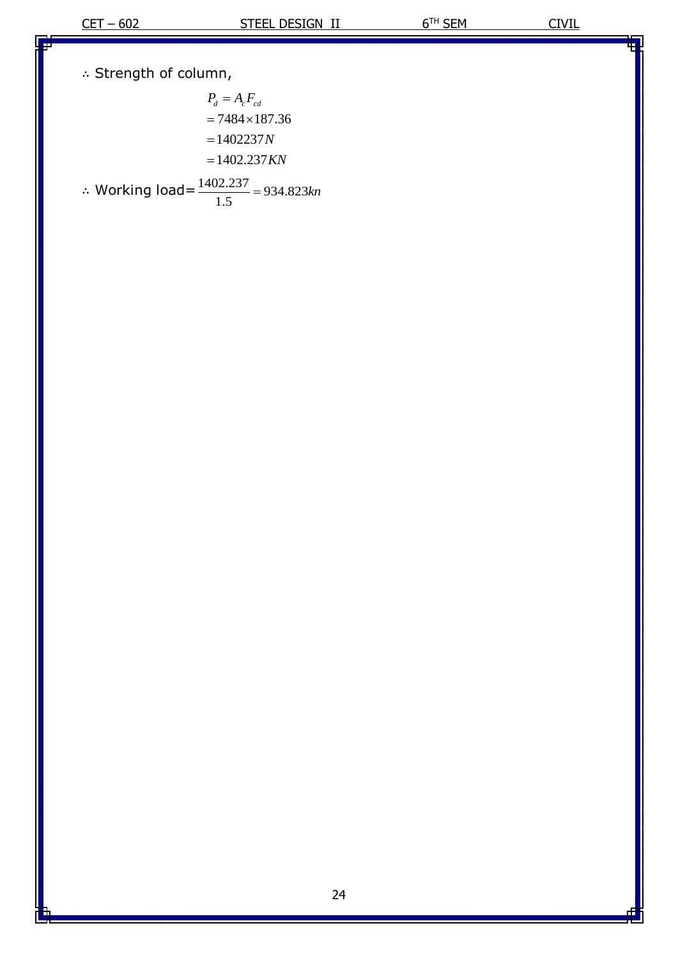∴ Strength of column,

 $= 7484 \!\times\! 187.36$ 1402237 *N* 1402.237 *KN*  $P_d = A_c F_{cd}$ ∴ Working load= $\frac{1402.237}{7}$  = 934.823 1.5 =934.823kn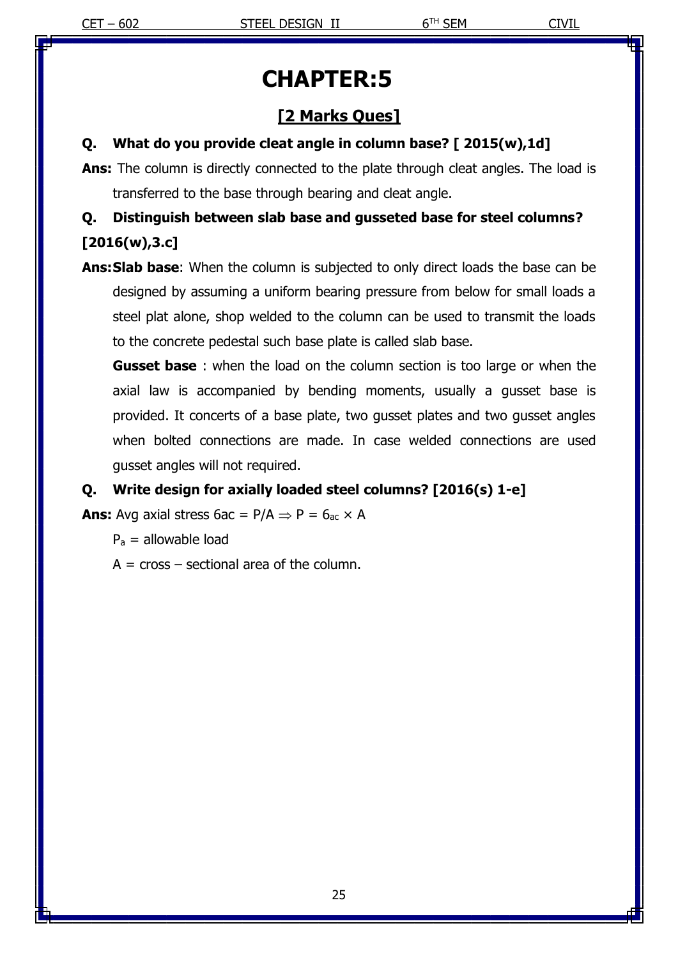# **CHAPTER:5**

# **[2 Marks Ques]**

#### **Q. What do you provide cleat angle in column base? [ 2015(w),1d]**

**Ans:** The column is directly connected to the plate through cleat angles. The load is transferred to the base through bearing and cleat angle.

# **Q. Distinguish between slab base and gusseted base for steel columns? [2016(w),3.c]**

**Ans:Slab base**: When the column is subjected to only direct loads the base can be designed by assuming a uniform bearing pressure from below for small loads a steel plat alone, shop welded to the column can be used to transmit the loads to the concrete pedestal such base plate is called slab base.

**Gusset base** : when the load on the column section is too large or when the axial law is accompanied by bending moments, usually a gusset base is provided. It concerts of a base plate, two gusset plates and two gusset angles when bolted connections are made. In case welded connections are used gusset angles will not required.

#### **Q. Write design for axially loaded steel columns? [2016(s) 1-e]**

**Ans:** Avg axial stress  $6ac = P/A \Rightarrow P = 6ac \times A$ 

 $P_a$  = allowable load

 $A = cross - sectional area of the column.$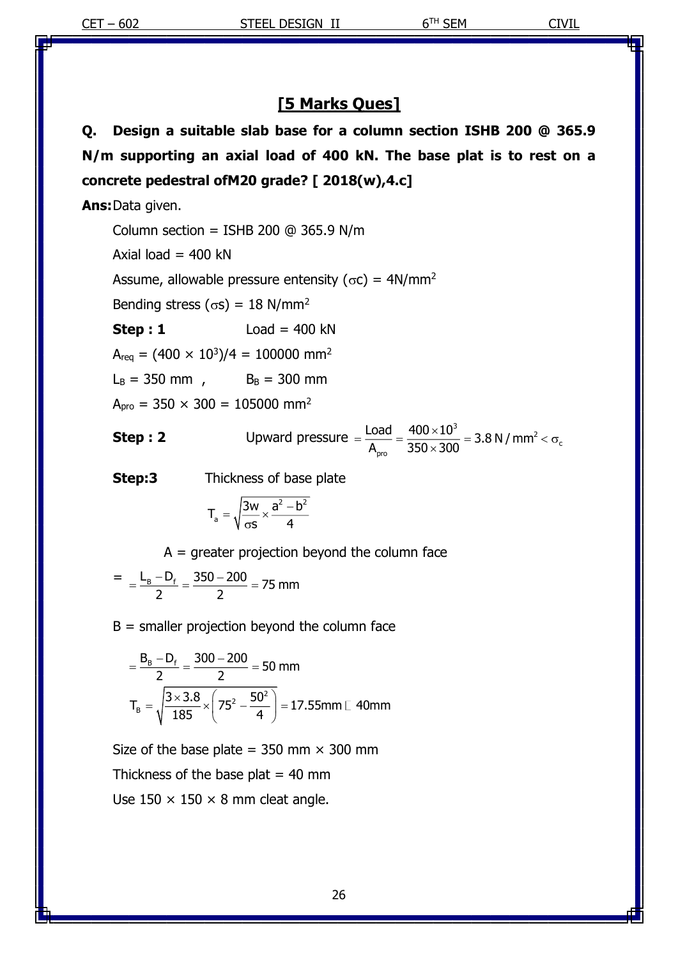### **[5 Marks Ques]**

**Q. Design a suitable slab base for a column section ISHB 200 @ 365.9 N/m supporting an axial load of 400 kN. The base plat is to rest on a concrete pedestral ofM20 grade? [ 2018(w),4.c]**

**Ans:**Data given.

Column section = ISHB 200  $@$  365.9 N/m

Axial load  $=$  400 kN

Assume, allowable pressure entensity ( $\sigma c$ ) = 4N/mm<sup>2</sup>

Bending stress ( $\sigma s$ ) = 18 N/mm<sup>2</sup>

**Step : 1** Load = 400 kN

 ${\sf A_{req}}$  = (400  $\times$  10 $^3$ )/4 = 100000 mm<sup>2</sup>

 $L_B = 350$  mm,  $B_B = 300$  mm

 $A_{\text{pro}} = 350 \times 300 = 105000 \text{ mm}^2$ 

**Step : 2**    Upward pressure = 
$$
\frac{\text{Load}}{\text{A}_{\text{pro}}}
$$
 =  $\frac{400 \times 10^3}{350 \times 300}$  = 3.8 N/mm<sup>2</sup> <  $\sigma_c$ 

**Step:3** Thickness of base plate

$$
T_a = \sqrt{\frac{3w}{\sigma s}} \times \frac{a^2 - b^2}{4}
$$

 $A =$  greater projection beyond the column face

$$
= \frac{L_B - D_f}{2} = \frac{350 - 200}{2} = 75 \text{ mm}
$$

 $B =$  smaller projection beyond the column face

$$
= \frac{B_B - D_f}{2} = \frac{300 - 200}{2} = 50 \text{ mm}
$$

$$
T_B = \sqrt{\frac{3 \times 3.8}{185} \times \left(75^2 - \frac{50^2}{4}\right)} = 17.55 \text{ mm} \square 40 \text{ mm}
$$

Size of the base plate =  $350$  mm  $\times$  300 mm Thickness of the base plat  $= 40$  mm Use  $150 \times 150 \times 8$  mm cleat angle.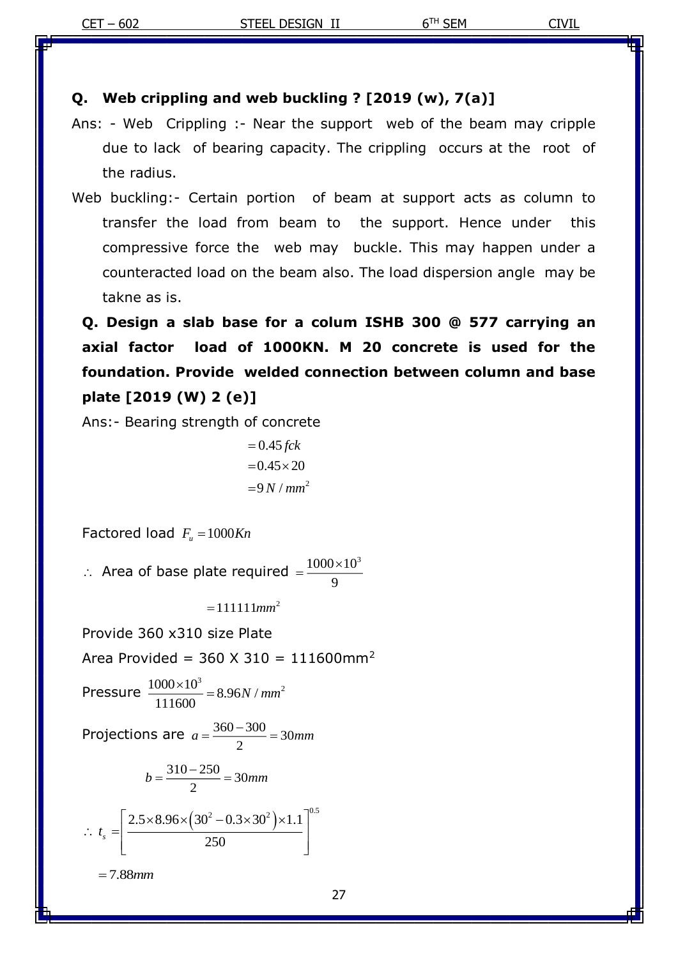#### **Q. Web crippling and web buckling ? [2019 (w), 7(a)]**

- Ans: Web Crippling :- Near the support web of the beam may cripple due to lack of bearing capacity. The crippling occurs at the root of the radius.
- Web buckling:- Certain portion of beam at support acts as column to transfer the load from beam to the support. Hence under this compressive force the web may buckle. This may happen under a counteracted load on the beam also. The load dispersion angle may be takne as is.

**Q. Design a slab base for a colum ISHB 300 @ 577 carrying an axial factor load of 1000KN. M 20 concrete is used for the foundation. Provide welded connection between column and base plate [2019 (W) 2 (e)]**

Ans:- Bearing strength of concrete

 $= 9 N / mm<sup>2</sup>$ 0.45 *fck*  $= 0.45 \times 20$ 

Factored load  $F_u = 1000$ Kn

 $\therefore$  Area of base plate required  $=\frac{1000\times 10^3}{2}$ 9  $=\frac{1000 \times}{1000 \times}$ 

 $=111111$ *mm*<sup>2</sup>

Provide 360 x310 size Plate

Area Provided =  $360 \times 310 = 111600$ mm<sup>2</sup>

$$
Pressure \frac{1000 \times 10^3}{111600} = 8.96N / mm^2
$$

Projections are  $a = \frac{360 - 300}{100} = 30$  $a = \frac{300 - 300}{2} = 30$ mm

$$
b = \frac{310 - 250}{2} = 30 \, mm
$$

$$
\therefore t_s = \left[ \frac{2.5 \times 8.96 \times (30^2 - 0.3 \times 30^2) \times 1.1}{250} \right]^{0.5}
$$

7.88*mm*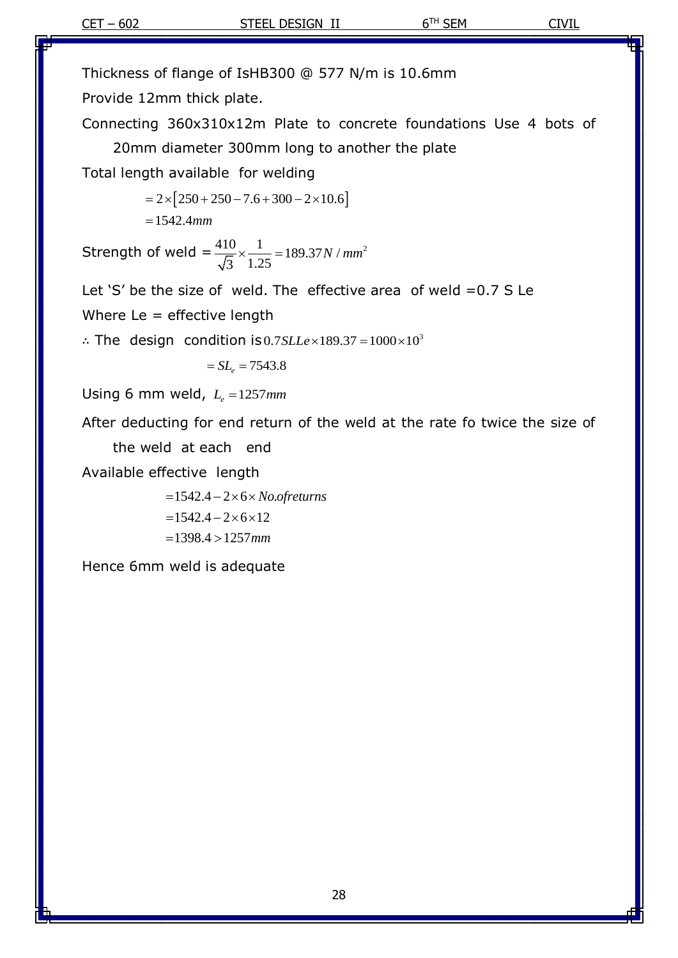Thickness of flange of IsHB300 @ 577 N/m is 10.6mm

Provide 12mm thick plate.

Connecting 360x310x12m Plate to concrete foundations Use 4 bots of

20mm diameter 300mm long to another the plate

Total length available for welding

 $= 2 \times [250 + 250 - 7.6 + 300 - 2 \times 10.6]$ 1542.4*mm*

Strength of weld  $=\frac{410}{5} \times \frac{1}{100} = 189.37 N/mm^2$  $\frac{3}{3} \times \frac{1}{1.25} = 189.37 N / mm$ 

Let 'S' be the size of weld. The effective area of weld  $=0.7$  S Le

Where  $Le =$  effective length

 $\therefore$  The design condition is  $0.7$  *SLLe*  $\times$  189.37 = 1000 $\times$  10<sup>3</sup>

 $SL_e = 7543.8$ 

Using 6 mm weld,  $L_e = 1257$ <sub>mm</sub>

After deducting for end return of the weld at the rate fo twice the size of

the weld at each end

Available effective length

1542.4 2 6 . *No ofreturns*  $=1542.4 - 2 \times 6 \times 12$ 1398.4 1257 *mm*

Hence 6mm weld is adequate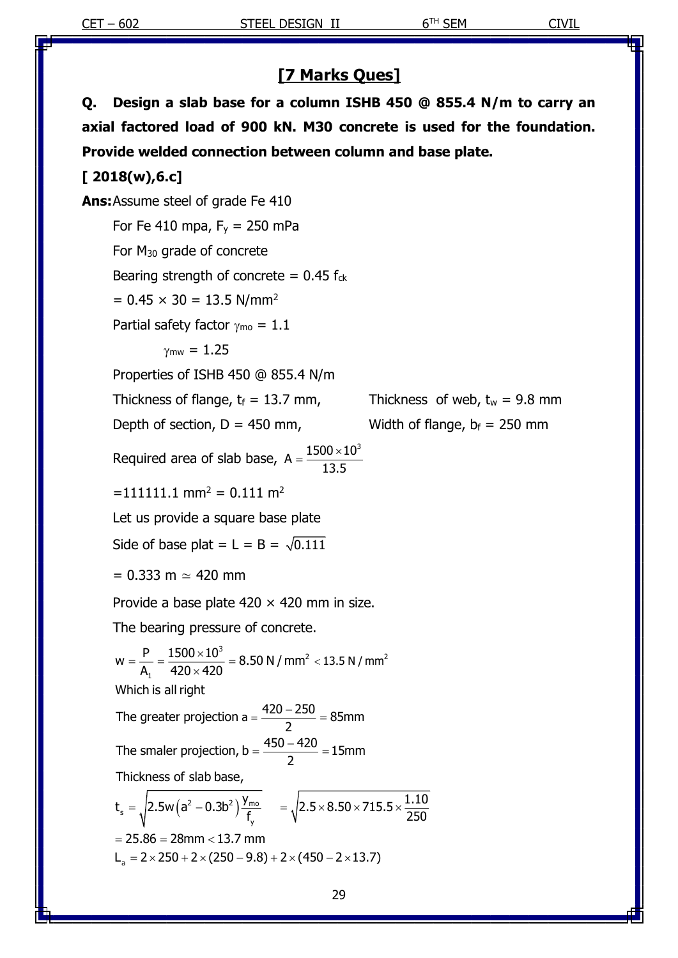#### **[7 Marks Ques]**

**Q. Design a slab base for a column ISHB 450 @ 855.4 N/m to carry an axial factored load of 900 kN. M30 concrete is used for the foundation. Provide welded connection between column and base plate.**

#### **[ 2018(w),6.c]**

**Ans:**Assume steel of grade Fe 410

For Fe 410 mpa,  $F_v = 250$  mPa

For M<sup>30</sup> grade of concrete

Bearing strength of concrete =  $0.45 f_{ck}$ 

 $= 0.45 \times 30 = 13.5$  N/mm<sup>2</sup>

Partial safety factor  $\gamma_{\text{mo}} = 1.1$ 

$$
\gamma_{\text{mw}}=1.25
$$

Properties of ISHB 450 @ 855.4 N/m

Thickness of flange,  $t_f = 13.7$  mm, Thickness of web,  $t_w = 9.8$  mm

Depth of section,  $D = 450$  mm, Width of flange,  $b_f = 250$  mm

Required area of slab base,  $A = \frac{1500 \times 10^3}{10.55}$ 13.5  $=\frac{200\times100}{1500\times1000\times1000\times1000\times1000\times1000\times1000\times1000\times1000\times1000\times1000\times1000\times1000\times1000\times1000\times1000\times1000\times1000\times1000\times1000\times1000\times1000\times1000\times1000\times1000\times1000\times1000\times1000\times1000\times1000\times1000\times1000\times1000\times1000\times1000$ 

 $=111111.1$  mm<sup>2</sup> = 0.111 m<sup>2</sup>

Let us provide a square base plate

Side of base plat  $= L = B = \sqrt{0.111}$ 

 $= 0.333$  m  $\simeq 420$  mm

Provide a base plate  $420 \times 420$  mm in size.

The bearing pressure of concrete.

 $\sigma_{\rm s} = \sqrt{2.5}$ w $(a^2 - 0.3b^2)\frac{y_{\rm{mo}}}{f}$ 3<br>  $Q$  FO N  $l$  m  $^2$  12 F N  $l$  m  $^2$ 1 y  $w = \frac{P}{A_1} = \frac{1500 \times 10^3}{420 \times 420} = 8.50 \text{ N / mm}^2 < 13.5 \text{ N / mm}$ The greater projection a =  $\frac{420-250}{2}$  = 85mm Which is all right The smaler projection, b =  $\frac{450-420}{2}$  = 15mm Thickness of slab base,  ${\rm t}\ =\ \big|2.5$ w $({\sf a}^2-0.3{\sf b}^2)\frac{{\sf Y}_{\sf mo}}{ } \quad=\ . \big|2.5\!\times\!8.50\!\times\!715.5\!\times\! \frac{1.10}{\cal M}$  $f = \sqrt{2.5W(d^2 - 0.30^2) \frac{400}{f}} = \sqrt{2.5 \times 8.50 \times 715.5 \times \frac{1}{250}}$ 25.86 28mm 13.7 mm  $\frac{-200}{1}$  $=$   $\frac{1}{2}$   $\frac{1}{2}$   $\frac{1}{2}$   $\frac{1}{2}$   $\frac{1}{2}$   $\frac{1}{2}$  ${\sf L}_{{\sf a}} = 2\!\times\!250 + 2\!\times\!(250-9.8) + 2\!\times\!(450-2\!\times\!13.7)$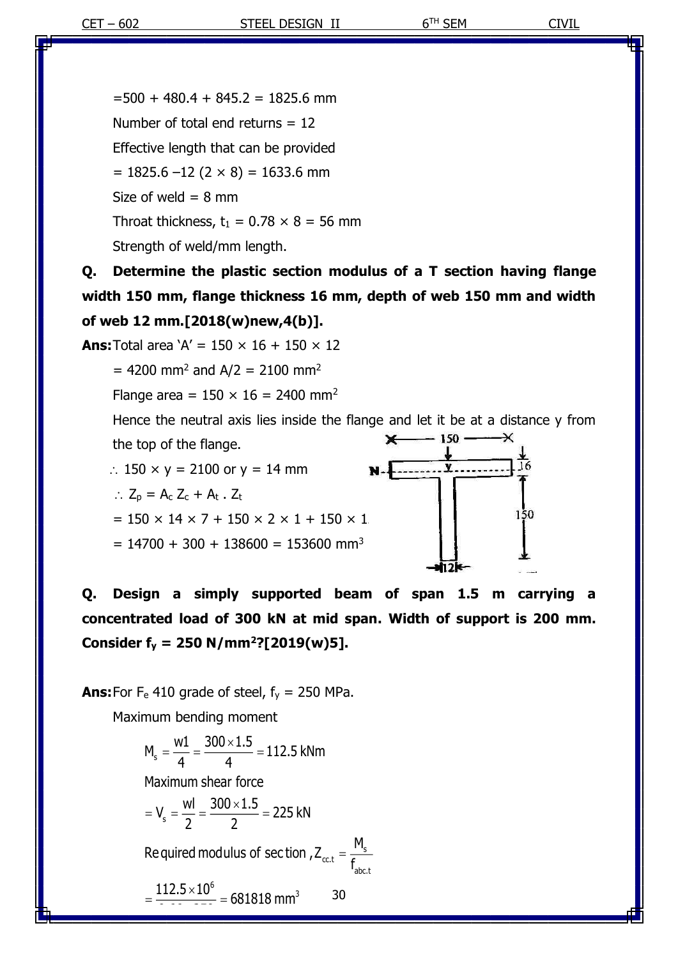$=500 + 480.4 + 845.2 = 1825.6$  mm Number of total end returns  $= 12$ Effective length that can be provided  $= 1825.6 - 12 (2 \times 8) = 1633.6$  mm Size of weld  $= 8$  mm Throat thickness,  $t_1 = 0.78 \times 8 = 56$  mm Strength of weld/mm length.

**Q. Determine the plastic section modulus of a T section having flange width 150 mm, flange thickness 16 mm, depth of web 150 mm and width of web 12 mm.[2018(w)new,4(b)].**

**Ans:** Total area  $A' = 150 \times 16 + 150 \times 12$ 

 $= 4200$  mm<sup>2</sup> and A/2 = 2100 mm<sup>2</sup>

Flange area =  $150 \times 16 = 2400$  mm<sup>2</sup>

Hence the neutral axis lies inside the flange and let it be at a distance y from  $-150 \longrightarrow X$ the top of the flange.

∴ 150  $\times$  y = 2100 or y = 14 mm

$$
\therefore Z_p = A_c Z_c + A_t . Z_t
$$

$$
= 150 \times 14 \times 7 + 150 \times 2 \times 1 + 150 \times 1
$$

 $= 14700 + 300 + 138600 = 153600$  mm<sup>3</sup>



**Q. Design a simply supported beam of span 1.5 m carrying a concentrated load of 300 kN at mid span. Width of support is 200 mm. Consider f<sup>y</sup> = 250 N/mm<sup>2</sup>?[2019(w)5].**

**Ans:** For  $F_e$  410 grade of steel,  $f_v$  = 250 MPa.

Maximum bending moment

0.66 250

$$
M_s = \frac{w1}{4} = \frac{300 \times 1.5}{4} = 112.5 \text{ kNm}
$$
  
Maximum shear force  

$$
= V_s = \frac{wl}{2} = \frac{300 \times 1.5}{2} = 225 \text{ kN}
$$
  
Required modulus of section,  $Z_{cct} = \frac{M_s}{f_{abct}}$ 
$$
= \frac{112.5 \times 10^6}{2} = 681818 \text{ mm}^3
$$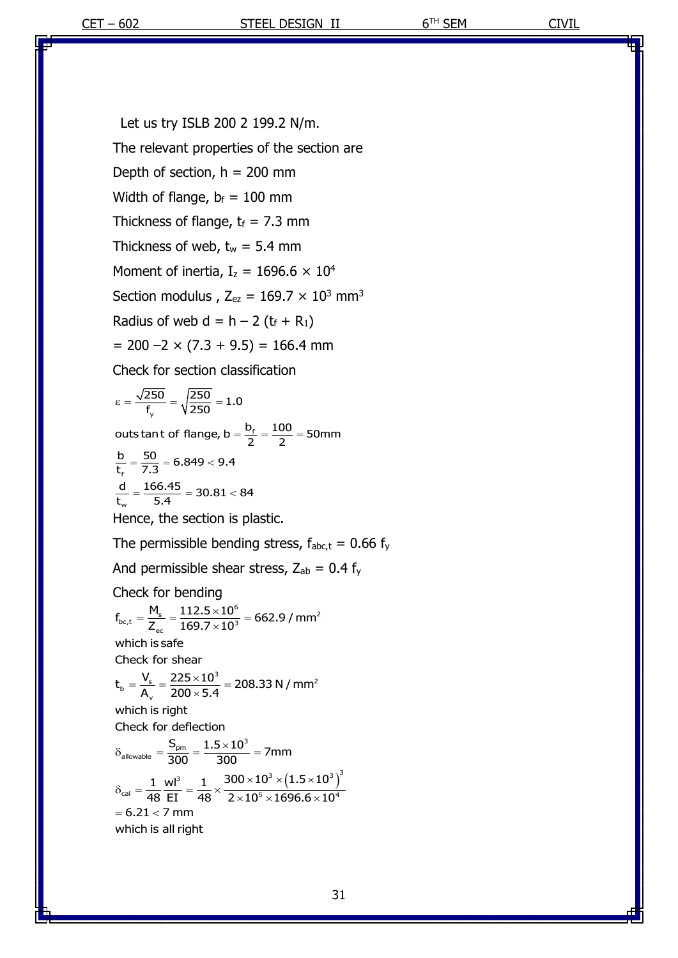Let us try ISLB 200 2 199.2 N/m. The relevant properties of the section are Depth of section,  $h = 200$  mm Width of flange,  $b_f = 100$  mm Thickness of flange,  $t_f = 7.3$  mm Thickness of web,  $t_w = 5.4$  mm Moment of inertia,  $I_z = 1696.6 \times 10^4$ Section modulus,  $Z_{ez} = 169.7 \times 10^3$  mm<sup>3</sup> Radius of web  $d = h - 2 (t_f + R_1)$  $= 200 -2 \times (7.3 + 9.5) = 166.4$  mm Check for section classification Hence, the section is plastic. The permissible bending stress,  $f_{abc,t} = 0.66 f_y$ And permissible shear stress,  $Z_{ab} = 0.4$  f<sub>y</sub> Check for bending y outs tant of flange, b  $=$   $\frac{\mathsf{b}_{\mathsf{f}}}{2}$   $=$   $\frac{100}{2}$   $=$  50mm f w  $\varepsilon = \frac{\sqrt{250}}{f} = \sqrt{\frac{250}{250}} = 1.0$  $\frac{b}{t_{\epsilon}} = \frac{50}{7.3} = 6.849 < 9.4$  $\frac{d}{dt} = \frac{166.45}{5.4} = 30.81 < 84$  $\frac{3}{3}$  1 300 $\times10^{3}$   $\times$   $\left(1.5\times10^{3}\right)^{3}$ Check for bending<br> $f_{bc,t} = \frac{M_s}{Z_{ec}} = \frac{112.5 \times 10^6}{169.7 \times 10^3} = 662.9 / mm^2$ Check for shear<br>  $t_b = \frac{V_s}{A_v} = \frac{225 \times 10^3}{200 \times 5.4} = 208.33$  N / mm<sup>2</sup> Theck for deflection<br>  $\frac{S_{pm}}{S_{200}} = \frac{1.5 \times 10^3}{300} = 7$ mm allowable  $-$  300  $-$  300  $-$  7.11111<br>
cal  $=$   $\frac{1}{48} \frac{Wl^3}{EI} = \frac{1}{48} \times \frac{300 \times 10^3 \times (1.5 \times 10^3 \text{ m})}{2 \times 10^5 \times 1606.6 \times 1}$  $n_{bc,t} = \frac{1}{Z_{ec}} = \frac{1}{1}$ <br>which is safe which is safe<br>Check for shear  $L_b = \frac{1}{A_v} = \frac{1}{200}$ <br>which is right which is right<br>Check for deflection  $\frac{S_{\text{pm}}}{300} = \frac{1.5 \times 1}{300}$  $\frac{1}{48} \frac{\text{wl}^3}{\text{EI}} = \frac{1}{48} \times \frac{300 \times 1}{2 \times 10}$  $\times$ CK for bending<br>=  $\frac{M_s}{Z_{cr}} = \frac{112.5 \times 10^6}{169.7 \times 10^3} = 662.9$  $\times$ eck for snear<br>=  $\frac{V_s}{A_v} = \frac{225 \times 10^3}{200 \times 5.4} = 208.3$ Crieck for defiection<br>  $\delta_{\text{allowable}} = \frac{S_{\text{pm}}}{300} = \frac{1.5 \times 10^3}{300} = 7 \text{mm}$  $\times 10^3 \times (1.5 \times 10^3)^3$  $\delta_{\rm cal} = \frac{1}{48} \frac{\text{Wl}^3}{\text{EI}} = \frac{1}{48} \times \frac{300 \times 10^3 \times (1.5 \times 10^3)}{2 \times 10^5 \times 1696.6 \times 10^4}$  $\delta_{\text{cal}} = \frac{1}{48}$   $\overline{EI} = \frac{1}{48} \times \frac{1}{2 \times 10^5 \times 1696.6 \times 10^4 \times 1696.6 \times 10^4 \times 10^5 \times 1696.6 \times 10^4 \times 10^5 \times 10^6 \times 10^6 \times 10^6 \times 10^6 \times 10^6 \times 10^6 \times 10^6 \times 10^6 \times 10^6 \times 10^6 \times 10^6 \times 10^6 \times 10^6 \times 10^6 \times 10^6 \times$  $= 6.21 < 7$  mm<br>which is all right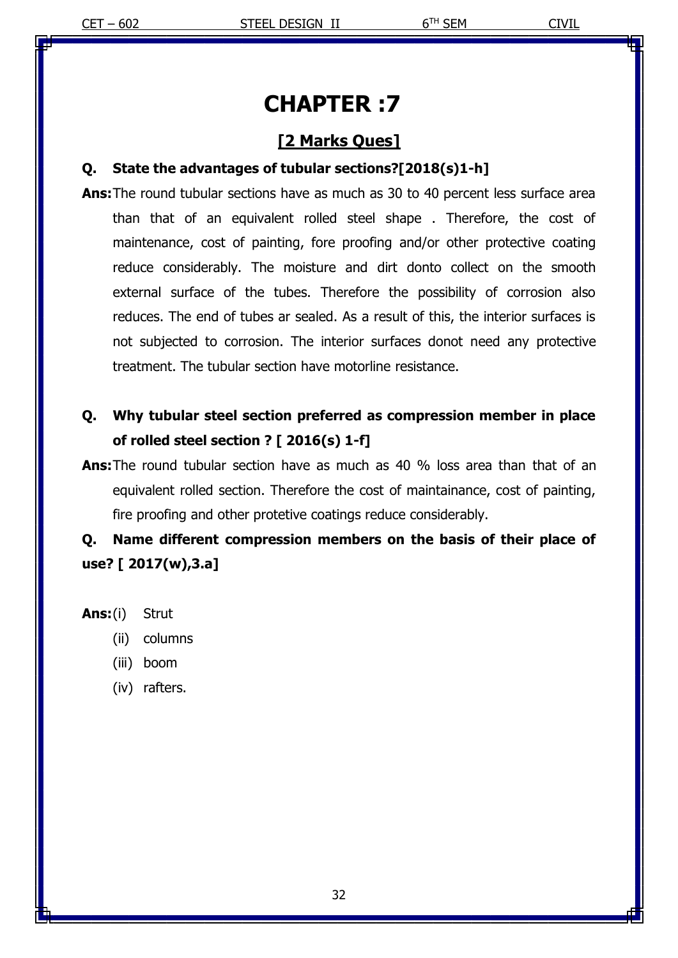# **CHAPTER :7**

### **[2 Marks Ques]**

#### **Q. State the advantages of tubular sections?[2018(s)1-h]**

**Ans:**The round tubular sections have as much as 30 to 40 percent less surface area than that of an equivalent rolled steel shape . Therefore, the cost of maintenance, cost of painting, fore proofing and/or other protective coating reduce considerably. The moisture and dirt donto collect on the smooth external surface of the tubes. Therefore the possibility of corrosion also reduces. The end of tubes ar sealed. As a result of this, the interior surfaces is not subjected to corrosion. The interior surfaces donot need any protective treatment. The tubular section have motorline resistance.

### **Q. Why tubular steel section preferred as compression member in place of rolled steel section ? [ 2016(s) 1-f]**

**Ans:**The round tubular section have as much as 40 % loss area than that of an equivalent rolled section. Therefore the cost of maintainance, cost of painting, fire proofing and other protetive coatings reduce considerably.

**Q. Name different compression members on the basis of their place of use? [ 2017(w),3.a]**

**Ans:**(i) Strut

- (ii) columns
- (iii) boom
- (iv) rafters.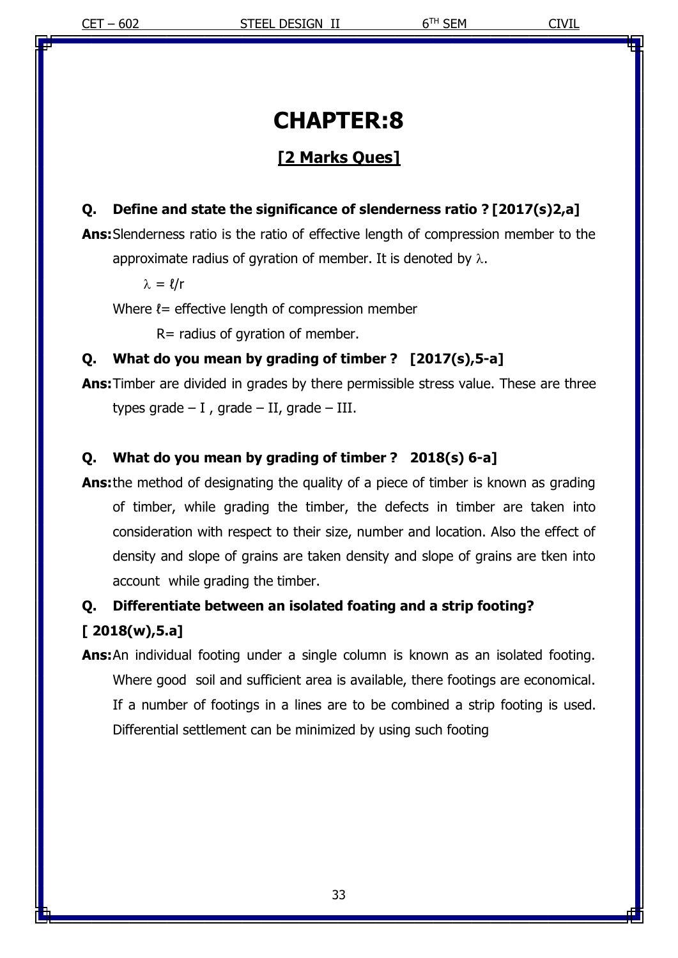# **CHAPTER:8**

# **[2 Marks Ques]**

#### **Q. Define and state the significance of slenderness ratio ? [2017(s)2,a]**

**Ans:**Slenderness ratio is the ratio of effective length of compression member to the approximate radius of gyration of member. It is denoted by  $\lambda$ .

 $\lambda = l/r$ 

Where  $l =$  effective length of compression member

R= radius of gyration of member.

#### **Q. What do you mean by grading of timber ? [2017(s),5-a]**

**Ans:**Timber are divided in grades by there permissible stress value. These are three

types grade  $- I$ , grade  $- II$ , grade  $- III$ .

#### **Q. What do you mean by grading of timber ? 2018(s) 6-a]**

**Ans:**the method of designating the quality of a piece of timber is known as grading of timber, while grading the timber, the defects in timber are taken into consideration with respect to their size, number and location. Also the effect of density and slope of grains are taken density and slope of grains are tken into account while grading the timber.

# **Q. Differentiate between an isolated foating and a strip footing? [ 2018(w),5.a]**

**Ans:**An individual footing under a single column is known as an isolated footing. Where good soil and sufficient area is available, there footings are economical. If a number of footings in a lines are to be combined a strip footing is used. Differential settlement can be minimized by using such footing

33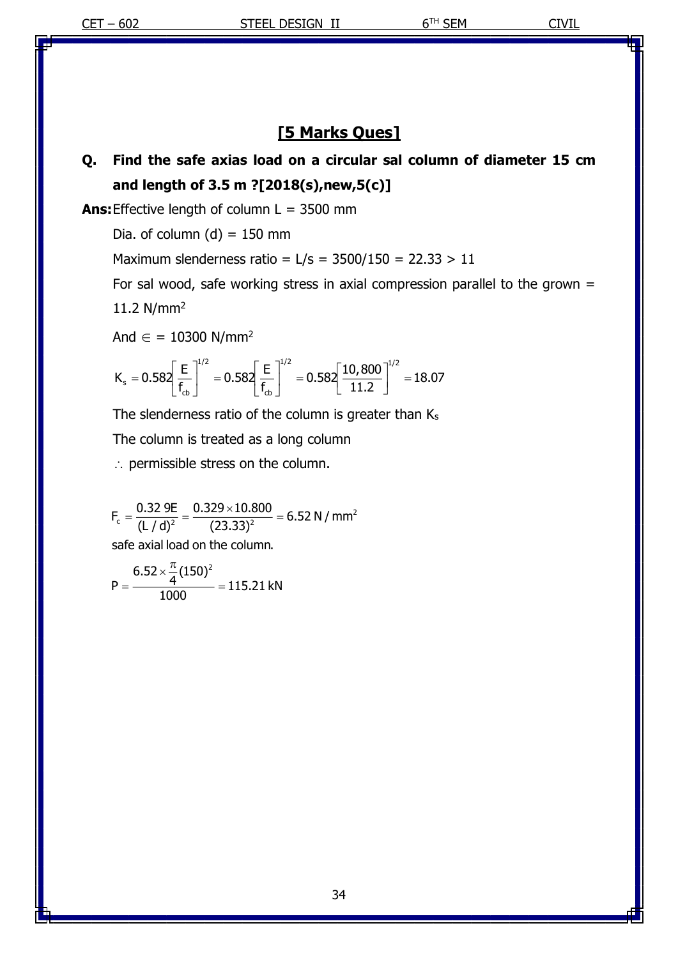## **[5 Marks Ques]**

# **Q. Find the safe axias load on a circular sal column of diameter 15 cm and length of 3.5 m ?[2018(s),new,5(c)]**

**Ans:**Effective length of column L = 3500 mm

Dia. of column  $(d) = 150$  mm

Maximum slenderness ratio =  $L/s = 3500/150 = 22.33 > 11$ 

For sal wood, safe working stress in axial compression parallel to the grown  $=$ 11.2 N/mm<sup>2</sup>

And  $\epsilon$  = 10300 N/mm<sup>2</sup>

And 
$$
\epsilon = 10300 \text{ N/mm}^2
$$
  
\n
$$
K_s = 0.582 \left[ \frac{\text{E}}{\text{f}_{cb}} \right]^{1/2} = 0.582 \left[ \frac{\text{E}}{\text{f}_{cb}} \right]^{1/2} = 0.582 \left[ \frac{10,800}{11.2} \right]^{1/2} = 18.07
$$

The slenderness ratio of the column is greater than  $K_s$ 

The column is treated as a long column

 $\therefore$  permissible stress on the column.

2  $F_c = \frac{0.32 \text{ } 9E}{(1.4 \text{ s})^2} = \frac{0.329 \times 10.800}{(23.33)^2} = 6.52 \text{ N/mm}$  $(L/d)^2$  (23.33) safe axial load on the column.  $=\frac{0.32 \text{ } \text{J} \cdot \text{J} \cdot \text{J}}{2} = \frac{0.329 \times 10.800}{2} =$ 

$$
P = \frac{6.52 \times \frac{\pi}{4} (150)^2}{1000} = 115.21 \text{ kN}
$$

34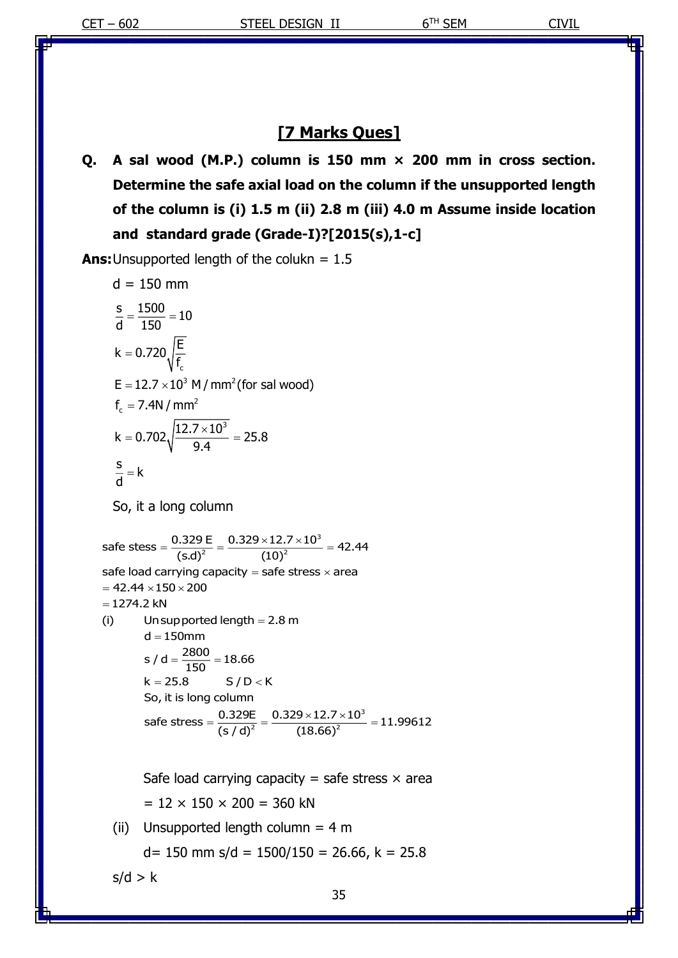#### **[7 Marks Ques]**

**Q. A sal wood (M.P.) column is 150 mm × 200 mm in cross section. Determine the safe axial load on the column if the unsupported length of the column is (i) 1.5 m (ii) 2.8 m (iii) 4.0 m Assume inside location and standard grade (Grade-I)?[2015(s),1-c]**

**Ans:**Unsupported length of the colukn = 1.5

d = 150 mm  
\n
$$
\frac{s}{d} = \frac{1500}{150} = 10
$$
\nk = 0.720 $\sqrt{\frac{E}{f_c}}$   
\nE = 12.7 × 10<sup>3</sup> M/mm<sup>2</sup> (for sal wood)  
\nf<sub>c</sub> = 7.4N/mm<sup>2</sup>  
\nk = 0.702 $\sqrt{\frac{12.7 \times 10^3}{9.4}} = 25.8$   
\n $\frac{s}{d} = k$   
\nSo, it a long column  
\nsafe stess =  $\frac{0.329 E}{(s.d)^2} = \frac{0.329 \times 12.7 \times 10^3}{(10)^2} = 42.44$   
\nsafe load carrying capacity = safe stress × area  
\n= 42.44 × 150 × 200  
\n= 1274.2 kN  
\n(i) Unsupported length = 2.8 m  
\nd = 150 mm  
\ns / d =  $\frac{2800}{150} = 18.66$   
\nk = 25.8 S / D < K  
\nSo, it is long column  
\nsafe stress =  $\frac{0.329 E}{(s/d)^2} = \frac{0.329 \times 12.7 \times 10^3}{(18.66)^2} = 11.99612$ 

Safe load carrying capacity = safe stress  $\times$  area  $= 12 \times 150 \times 200 = 360$  kN

(ii) Unsupported length column  $= 4$  m  $d= 150$  mm s/d = 1500/150 = 26.66, k = 25.8

 $s/d > k$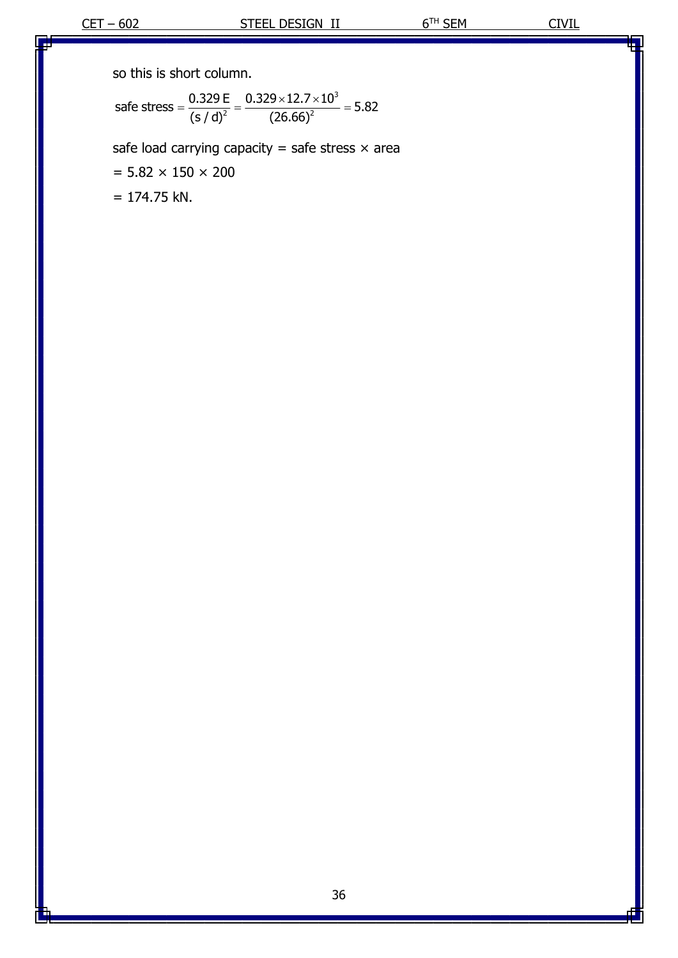so this is short column.  
\n
$$
\text{safe stress} = \frac{0.329 \text{ E}}{(s/d)^2} = \frac{0.329 \times 12.7 \times 10^3}{(26.66)^2} = 5.82
$$

safe load carrying capacity = safe stress  $\times$  area

 $= 5.82 \times 150 \times 200$ 

 $= 174.75$  kN.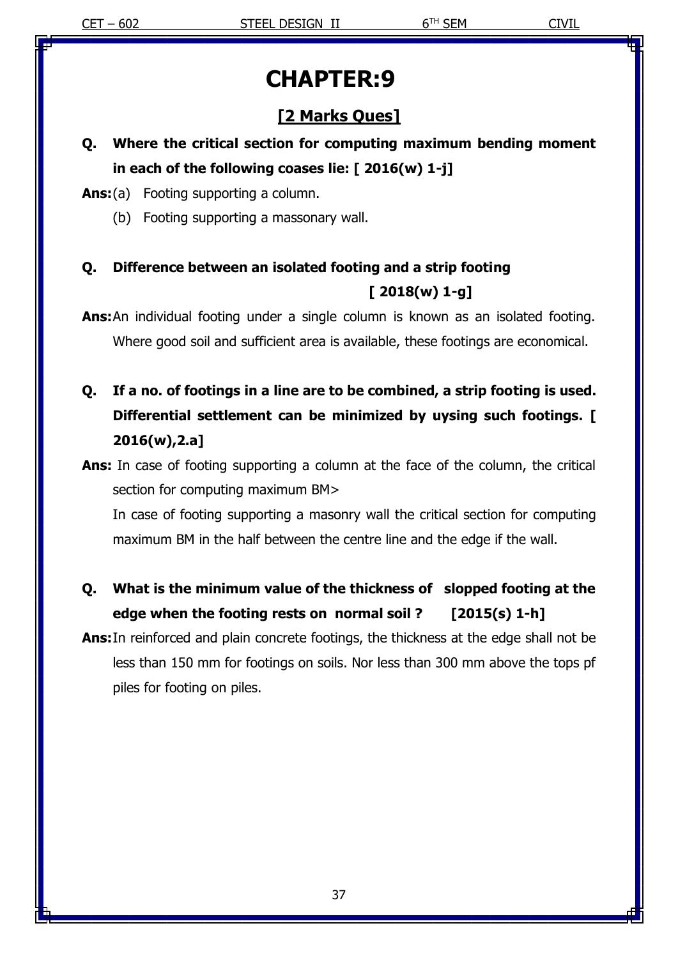# **CHAPTER:9**

# **[2 Marks Ques]**

## **Q. Where the critical section for computing maximum bending moment in each of the following coases lie: [ 2016(w) 1-j]**

**Ans:**(a) Footing supporting a column.

(b) Footing supporting a massonary wall.

## **Q. Difference between an isolated footing and a strip footing [ 2018(w) 1-g]**

**Ans:**An individual footing under a single column is known as an isolated footing. Where good soil and sufficient area is available, these footings are economical.

- **Q. If a no. of footings in a line are to be combined, a strip footing is used. Differential settlement can be minimized by uysing such footings. [ 2016(w),2.a]**
- **Ans:** In case of footing supporting a column at the face of the column, the critical section for computing maximum BM>

In case of footing supporting a masonry wall the critical section for computing maximum BM in the half between the centre line and the edge if the wall.

**Q. What is the minimum value of the thickness of slopped footing at the edge when the footing rests on normal soil ? [2015(s) 1-h]**

**Ans:**In reinforced and plain concrete footings, the thickness at the edge shall not be less than 150 mm for footings on soils. Nor less than 300 mm above the tops pf piles for footing on piles.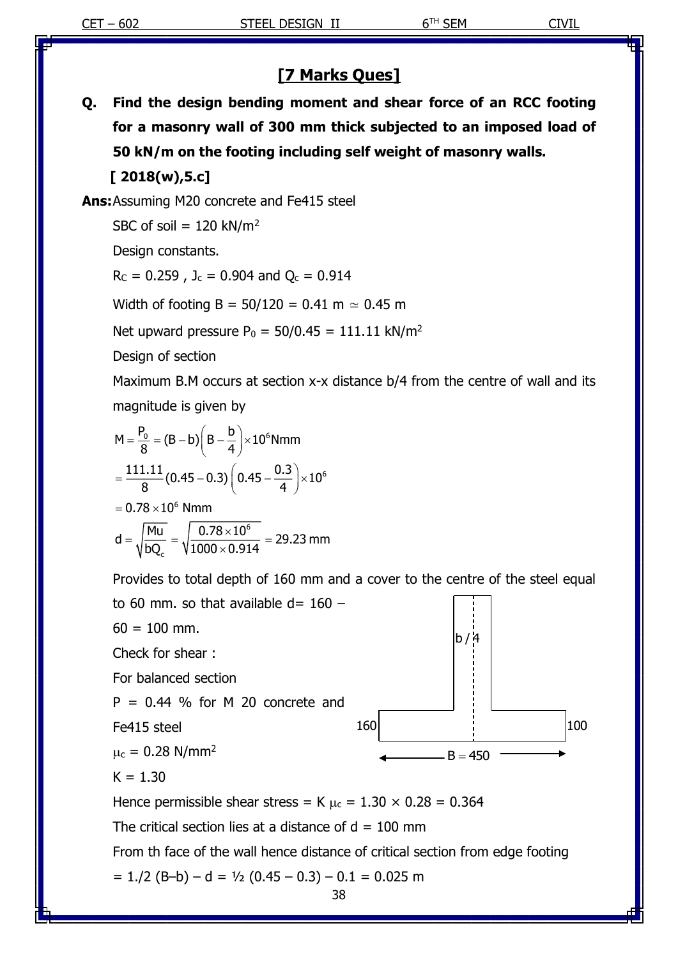### **[7 Marks Ques]**

**Q. Find the design bending moment and shear force of an RCC footing for a masonry wall of 300 mm thick subjected to an imposed load of 50 kN/m on the footing including self weight of masonry walls.**

 **[ 2018(w),5.c]**

**Ans:**Assuming M20 concrete and Fe415 steel

SBC of soil =  $120$  kN/m<sup>2</sup>

Design constants.

 $R_C = 0.259$ ,  $J_c = 0.904$  and  $Q_c = 0.914$ 

Width of footing B =  $50/120 = 0.41$  m  $\simeq$  0.45 m

Net upward pressure  $P_0 = 50/0.45 = 111.11$  kN/m<sup>2</sup>

Design of section

Maximum B.M occurs at section x-x distance b/4 from the centre of wall and its magnitude is given by

6

$$
M = \frac{P_0}{8} = (B - b) \left( B - \frac{b}{4} \right) \times 10^6 \text{ Nmm}
$$

$$
= \frac{111.11}{8} (0.45 - 0.3) \left( 0.45 - \frac{0.3}{4} \right) \times 10^6
$$

8 (4)  
= 0.78 × 10<sup>6</sup> Nmm  

$$
d = \sqrt{\frac{Mu}{bQ_c}} = \sqrt{\frac{0.78 \times 10^6}{1000 \times 0.914}} = 29.23 \text{ mm}
$$

Provides to total depth of 160 mm and a cover to the centre of the steel equal

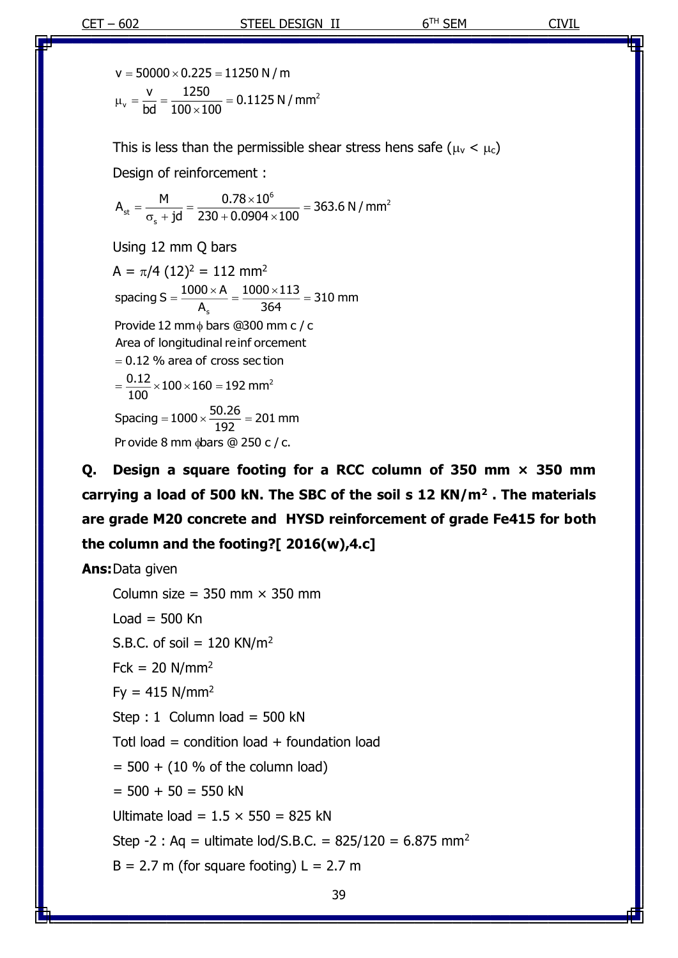2 = 50000 × 0.225 = 11250 N / m<br> $v = \frac{v}{bd} = \frac{1250}{100 \times 100} = 0.1125$  N / mm v = 50000  $\times$  0.225 = 11250 N / m  $\frac{\mathsf{v}}{\mathsf{b}\mathsf{d}} = \frac{1250}{100 \times 100}$  $\mu_{\rm v} = \frac{v}{bd} = \frac{1250}{100 \times 100} = 0.11$ 

This is less than the permissible shear stress hens safe ( $\mu$ <sub>v</sub> <  $\mu$ <sub>c</sub>)

Design of reinforcement :  
\n
$$
A_{st} = \frac{M}{\sigma_s + jd} = \frac{0.78 \times 10^6}{230 + 0.0904 \times 100} = 363.6 N/mm^2
$$

Using 12 mm Q bars

 $A = \pi/4$  (12)<sup>2</sup> = 112 mm<sup>2</sup> s  $\frac{\text{0.12}}{\text{m} \times 100 \times 160}$  = 192 mm $^2$ spacing S  $=\displaystyle\frac{1000\times{\sf A}}{\sf A}$   $=\displaystyle\frac{1000\times113}{364}$   $=310$  mm Provide 12 mm $\scriptstyle\phi$  bars @300 mm c / c Area of longitudinal reinf orcement  $=$  0.12  $\%$  area of cross sec tion  $=\frac{100}{100}$   $\times$  100  $\times$  160  $=$  $\textsf{Spacing}=1000\times \frac{50.26}{192} = 201 \ \textsf{mm}$ Pr ovide 8 mm  $\phi$ bars @ 250 c / c.  $=\frac{1000\times A}{\sqrt{1000\times A}} = \frac{1000\times 113}{\sqrt{1000\times A}} =$ 

**Q. Design a square footing for a RCC column of 350 mm × 350 mm carrying a load of 500 kN. The SBC of the soil s 12 KN/m<sup>2</sup> . The materials are grade M20 concrete and HYSD reinforcement of grade Fe415 for both the column and the footing?[ 2016(w),4.c]**

**Ans:**Data given

Column size =  $350$  mm  $\times$  350 mm Load =  $500$  Kn S.B.C. of soil =  $120$  KN/m<sup>2</sup>  $Fck = 20 N/mm<sup>2</sup>$  $Fy = 415$  N/mm<sup>2</sup> Step : 1 Column load =  $500$  kN Totl load = condition load + foundation load  $= 500 + (10 % of the column load)$  $= 500 + 50 = 550$  kN Ultimate load =  $1.5 \times 550 = 825$  kN Step -2 : Aq = ultimate  $\text{lod/S.B.C.} = 825/120 = 6.875 \text{ mm}^2$  $B = 2.7$  m (for square footing)  $L = 2.7$  m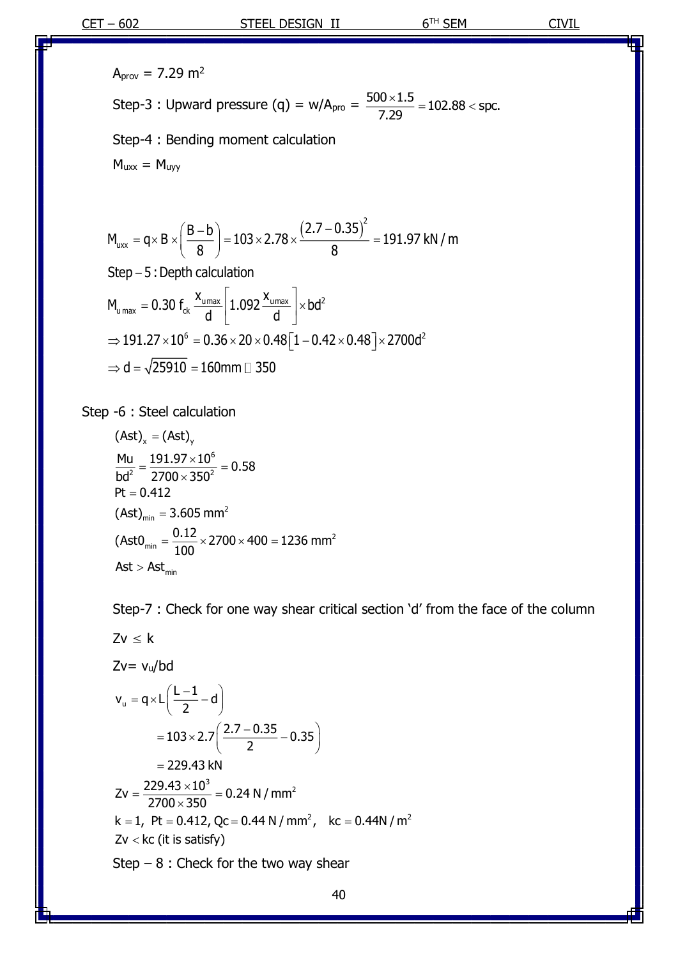$A<sub>prov</sub> = 7.29 m<sup>2</sup>$ Step-3 : Upward pressure (q) = w/A<sub>pro</sub> =  $\frac{500 \times 1.5}{7.29}$  = 102.88 < spc.  $\frac{\times 1.5}{ }$  = 102.88  $<$ Step-4 : Bending moment calculation  $M_{uxx} = M_{uyy}$ 

$$
M_{\text{uxx}} = q \times B \times \left(\frac{B-b}{8}\right) = 103 \times 2.78 \times \frac{(2.7 - 0.35)^{2}}{8} = 191.97 \text{ kN/m}
$$
  
Step – 5 : Depth calculation

$$
M_{u_{max}} = 0.30 f_{ck} \frac{x_{u_{max}}}{d} \left[ 1.092 \frac{x_{u_{max}}}{d} \right] \times bd^2
$$
  
\n
$$
\Rightarrow 191.27 \times 10^6 = 0.36 \times 20 \times 0.48 \left[ 1 - 0.42 \times 0.48 \right] \times 2700d^2
$$
  
\n
$$
\Rightarrow d = \sqrt{25910} = 160 \text{mm} \square 350
$$

Step -6 : Steel calculation<br>  $(Ast)_x = (Ast)_y$ 

(Ast)<sub>x</sub> = (Ast)<sub>y</sub>  
\n
$$
\frac{Mu}{bd^2} = \frac{191.97 \times 10^6}{2700 \times 350^2} = 0.58
$$
\nPt = 0.412  
\n(Ast)<sub>min</sub> = 3.605 mm<sup>2</sup>  
\n(Ast0<sub>min</sub> =  $\frac{0.12}{100} \times 2700 \times 400 = 1236$  mm<sup>2</sup>  
\nAst > Ast<sub>min</sub>

Step-7 : Check for one way shear critical section 'd' from the face of the column

$$
Zv \le k
$$
  
\n
$$
Zv = v_u/bd
$$
  
\n
$$
v_u = q \times L\left(\frac{L-1}{2} - d\right)
$$
  
\n
$$
= 103 \times 2.7\left(\frac{2.7 - 0.35}{2} - 0.35\right)
$$
  
\n
$$
= 229.43 kN
$$
  
\n
$$
Zv = \frac{229.43 \times 10^3}{2700 \times 350} = 0.24 N/mm^2
$$
  
\n
$$
k = 1, Pt = 0.412, Qc = 0.44 N/mm^2, kc = 0.44 N/m^2
$$
  
\n
$$
Zv < kc \text{ (it is satisfy)}
$$
  
\nStep – 8 : Check for the two way shear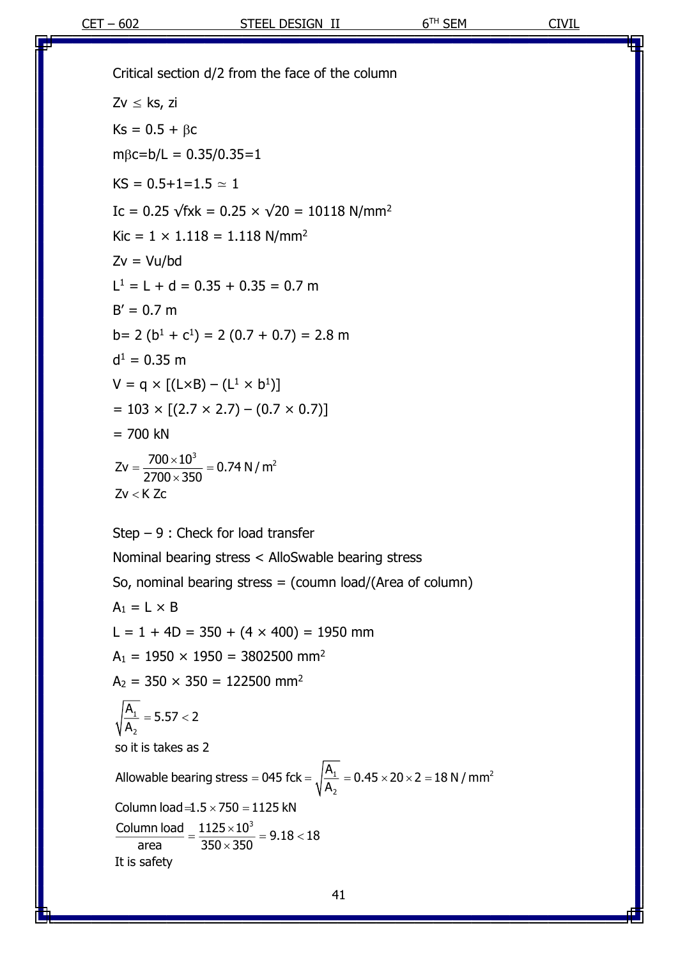Critical section d/2 from the face of the column  $Zv \leq ks$ , zi  $Ks = 0.5 + \beta c$  $m\beta c = b/L = 0.35/0.35 = 1$  $KS = 0.5 + 1 = 1.5 \approx 1$ Ic =  $0.25 \sqrt{x} = 0.25 \times \sqrt{20} = 10118 \text{ N/mm}^2$  $Kic = 1 \times 1.118 = 1.118$  N/mm<sup>2</sup>  $Zv = Vu/bd$  $L^1 = L + d = 0.35 + 0.35 = 0.7$  m  $B' = 0.7$  m b= 2 (b<sup>1</sup> + c<sup>1</sup>) = 2 (0.7 + 0.7) = 2.8 m  $d^1 = 0.35$  m  $V = q \times [(L \times B) - (L^1 \times b^1)]$  $= 103 \times [(2.7 \times 2.7) - (0.7 \times 0.7)]$  $= 700$  kN Step – 9 : Check for load transfer Nominal bearing stress < AlloSwable bearing stress So, nominal bearing stress = (coumn load/(Area of column)  $A_1 = L \times B$  $L = 1 + 4D = 350 + (4 \times 400) = 1950$  mm  $A_1 = 1950 \times 1950 = 3802500$  mm<sup>2</sup>  $A_2 = 350 \times 350 = 122500$  mm<sup>2</sup>  $Zv = \frac{700 \times 10^3}{2700 \times 350} = 0.74 \text{ N/m}^2$  $=\frac{700\times10^3}{2700\times350}=0.7$ zzu<br>Zv < K Z<mark>c</mark> 1 2  $1 \quad 0.4$   $1 \cdot 20.2 \cdot 7.1011 \cdot 20.2$  $\frac{\mathsf{A_1}}{2}$  = 5.57 < 2  $\frac{1}{\mathsf{A}_2}$  = 5.57  $<$ so it is takes as 2 Allowable bearing stress = 045 fck =  $\sqrt{\frac{A_1}{A_2}}$  = 0.45  $\times$  20  $\times$  2 = 18 N / mm

Column load  $\mathord= \! 1.5 \times$  750  $\mathord= 1125$  kN

| Column load  | $= \frac{1125 \times 10^3}{350 \times 350} = 9.18 < 18$ \n |
|--------------|------------------------------------------------------------|
| It is safety |                                                            |

41

2